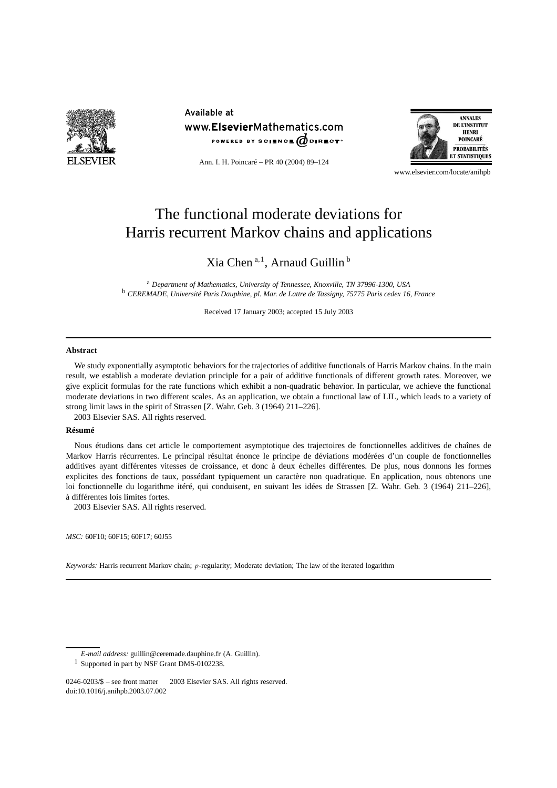

Available at www.ElsevierMathematics.com POWERED BY SCIENCE @DIRECT<sup>®</sup>



Ann. I. H. Poincaré – PR 40 (2004) 89–124

www.elsevier.com/locate/anihpb

# The functional moderate deviations for Harris recurrent Markov chains and applications

# Xia Chen <sup>a</sup>*,*<sup>1</sup> , Arnaud Guillin <sup>b</sup>

<sup>a</sup> *Department of Mathematics, University of Tennessee, Knoxville, TN 37996-1300, USA* <sup>b</sup> *CEREMADE, Université Paris Dauphine, pl. Mar. de Lattre de Tassigny, 75775 Paris cedex 16, France*

Received 17 January 2003; accepted 15 July 2003

#### **Abstract**

We study exponentially asymptotic behaviors for the trajectories of additive functionals of Harris Markov chains. In the main result, we establish a moderate deviation principle for a pair of additive functionals of different growth rates. Moreover, we give explicit formulas for the rate functions which exhibit a non-quadratic behavior. In particular, we achieve the functional moderate deviations in two different scales. As an application, we obtain a functional law of LIL, which leads to a variety of strong limit laws in the spirit of Strassen [Z. Wahr. Geb. 3 (1964) 211–226]. 2003 Elsevier SAS. All rights reserved.

#### **Résumé**

Nous étudions dans cet article le comportement asymptotique des trajectoires de fonctionnelles additives de chaînes de Markov Harris récurrentes. Le principal résultat énonce le principe de déviations modérées d'un couple de fonctionnelles additives ayant différentes vitesses de croissance, et donc à deux échelles différentes. De plus, nous donnons les formes explicites des fonctions de taux, possédant typiquement un caractère non quadratique. En application, nous obtenons une loi fonctionnelle du logarithme itéré, qui conduisent, en suivant les idées de Strassen [Z. Wahr. Geb. 3 (1964) 211–226], à différentes lois limites fortes.

2003 Elsevier SAS. All rights reserved.

*MSC:* 60F10; 60F15; 60F17; 60J55

*Keywords:* Harris recurrent Markov chain; *p*-regularity; Moderate deviation; The law of the iterated logarithm

*E-mail address:* guillin@ceremade.dauphine.fr (A. Guillin).

<sup>1</sup> Supported in part by NSF Grant DMS-0102238.

<sup>0246-0203/\$ –</sup> see front matter © 2003 Elsevier SAS. All rights reserved. doi:10.1016/j.anihpb.2003.07.002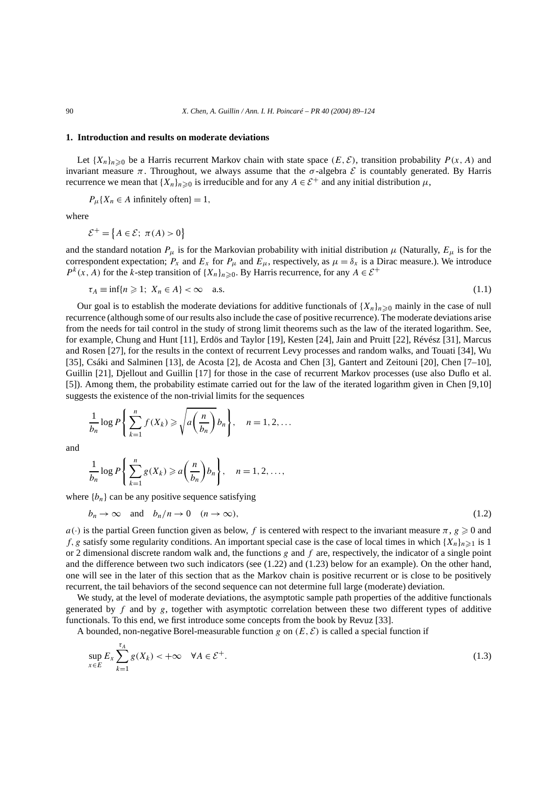# **1. Introduction and results on moderate deviations**

Let  ${X_n}_{n \geq 0}$  be a Harris recurrent Markov chain with state space  $(E, \mathcal{E})$ , transition probability  $P(x, A)$  and invariant measure  $π$ . Throughout, we always assume that the  $σ$ -algebra  $ε$  is countably generated. By Harris recurrence we mean that  ${X_n}_{n\geq 0}$  is irreducible and for any  $A \in \mathcal{E}^+$  and any initial distribution  $\mu$ ,

 $P_{\mu}$ {*X<sub>n</sub>* ∈ *A* infinitely often} = 1*,* 

where

$$
\mathcal{E}^+ = \big\{A \in \mathcal{E}; \ \pi(A) > 0\big\}
$$

and the standard notation  $P_\mu$  is for the Markovian probability with initial distribution  $\mu$  (Naturally,  $E_\mu$  is for the correspondent expectation;  $P_x$  and  $E_x$  for  $P_\mu$  and  $E_\mu$ , respectively, as  $\mu = \delta_x$  is a Dirac measure.). We introduce  $P^{k}(x, A)$  for the *k*-step transition of  $\{X_n\}_{n\geq 0}$ . By Harris recurrence, for any  $A \in \mathcal{E}^+$ 

$$
\tau_A \equiv \inf\{n \geqslant 1; \ X_n \in A\} < \infty \quad \text{a.s.} \tag{1.1}
$$

Our goal is to establish the moderate deviations for additive functionals of  $\{X_n\}_{n\geq 0}$  mainly in the case of null recurrence (although some of our results also include the case of positive recurrence). The moderate deviations arise from the needs for tail control in the study of strong limit theorems such as the law of the iterated logarithm. See, for example, Chung and Hunt [11], Erdös and Taylor [19], Kesten [24], Jain and Pruitt [22], Révész [31], Marcus and Rosen [27], for the results in the context of recurrent Levy processes and random walks, and Touati [34], Wu [35], Csáki and Salminen [13], de Acosta [2], de Acosta and Chen [3], Gantert and Zeitouni [20], Chen [7–10], Guillin [21], Djellout and Guillin [17] for those in the case of recurrent Markov processes (use also Duflo et al. [5]). Among them, the probability estimate carried out for the law of the iterated logarithm given in Chen [9,10] suggests the existence of the non-trivial limits for the sequences

$$
\frac{1}{b_n} \log P\left\{\sum_{k=1}^n f(X_k) \geqslant \sqrt{a\left(\frac{n}{b_n}\right)} b_n\right\}, \quad n = 1, 2, \dots
$$

and

$$
\frac{1}{b_n}\log P\left\{\sum_{k=1}^n g(X_k)\geqslant a\left(\frac{n}{b_n}\right)b_n\right\},\quad n=1,2,\ldots,
$$

where  ${b_n}$  can be any positive sequence satisfying

$$
b_n \to \infty \quad \text{and} \quad b_n/n \to 0 \quad (n \to \infty), \tag{1.2}
$$

*a(·*) is the partial Green function given as below, *f* is centered with respect to the invariant measure  $\pi$ ,  $g \ge 0$  and *f, g* satisfy some regularity conditions. An important special case is the case of local times in which  ${X_n}_{n \geq 1}$  is 1 or 2 dimensional discrete random walk and, the functions *g* and *f* are, respectively, the indicator of a single point and the difference between two such indicators (see (1.22) and (1.23) below for an example). On the other hand, one will see in the later of this section that as the Markov chain is positive recurrent or is close to be positively recurrent, the tail behaviors of the second sequence can not determine full large (moderate) deviation.

We study, at the level of moderate deviations, the asymptotic sample path properties of the additive functionals generated by  $f$  and by  $g$ , together with asymptotic correlation between these two different types of additive functionals. To this end, we first introduce some concepts from the book by Revuz [33].

A bounded, non-negative Borel-measurable function *g* on  $(E, \mathcal{E})$  is called a special function if

$$
\sup_{x \in E} E_x \sum_{k=1}^{\tau_A} g(X_k) < +\infty \quad \forall A \in \mathcal{E}^+. \tag{1.3}
$$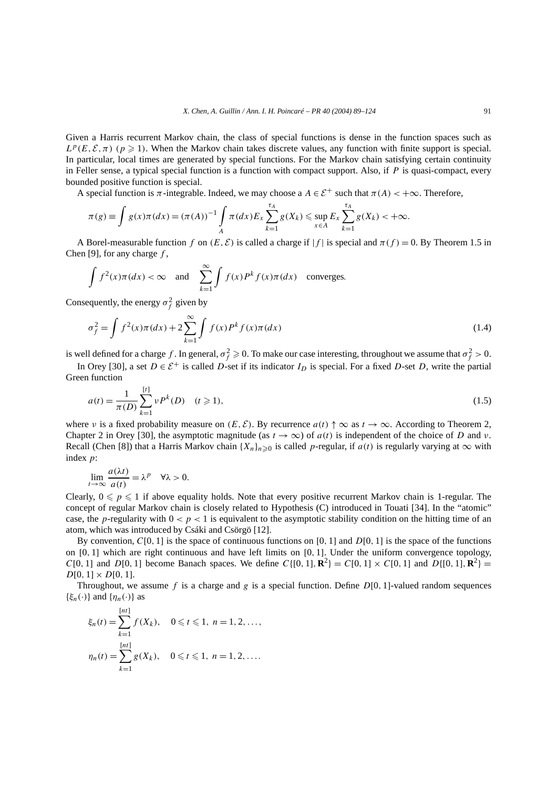Given a Harris recurrent Markov chain, the class of special functions is dense in the function spaces such as  $L^p(E, \mathcal{E}, \pi)$  ( $p \ge 1$ ). When the Markov chain takes discrete values, any function with finite support is special. In particular, local times are generated by special functions. For the Markov chain satisfying certain continuity in Feller sense, a typical special function is a function with compact support. Also, if *P* is quasi-compact, every bounded positive function is special.

A special function is  $\pi$ -integrable. Indeed, we may choose a  $A \in \mathcal{E}^+$  such that  $\pi(A) < +\infty$ . Therefore,

$$
\pi(g) \equiv \int g(x)\pi(dx) = (\pi(A))^{-1} \int_A \pi(dx) E_x \sum_{k=1}^{\tau_A} g(X_k) \le \sup_{x \in A} E_x \sum_{k=1}^{\tau_A} g(X_k) < +\infty.
$$

A Borel-measurable function *f* on  $(E, \mathcal{E})$  is called a charge if  $|f|$  is special and  $\pi(f) = 0$ . By Theorem 1.5 in Chen [9], for any charge *f* ,

$$
\int f^2(x)\pi(dx) < \infty
$$
 and  $\sum_{k=1}^{\infty} \int f(x)P^k f(x)\pi(dx)$  converges.

Consequently, the energy  $\sigma_f^2$  given by

$$
\sigma_f^2 = \int f^2(x)\pi(dx) + 2\sum_{k=1}^{\infty} \int f(x)P^k f(x)\pi(dx)
$$
\n(1.4)

is well defined for a charge f. In general,  $\sigma_f^2 \geq 0$ . To make our case interesting, throughout we assume that  $\sigma_f^2 > 0$ .

In Orey [30], a set  $D \in \mathcal{E}^+$  is called *D*-set if its indicator  $I_D$  is special. For a fixed *D*-set *D*, write the partial Green function

$$
a(t) = \frac{1}{\pi(D)} \sum_{k=1}^{[t]} \nu P^k(D) \quad (t \ge 1),
$$
\n(1.5)

where *ν* is a fixed probability measure on  $(E, \mathcal{E})$ . By recurrence  $a(t) \uparrow \infty$  as  $t \to \infty$ . According to Theorem 2, Chapter 2 in Orey [30], the asymptotic magnitude (as  $t \to \infty$ ) of  $a(t)$  is independent of the choice of *D* and *v*. Recall (Chen [8]) that a Harris Markov chain  ${X_n}_{n\geq 0}$  is called *p*-regular, if  $a(t)$  is regularly varying at  $\infty$  with index *p*:

$$
\lim_{t \to \infty} \frac{a(\lambda t)}{a(t)} = \lambda^p \quad \forall \lambda > 0.
$$

Clearly,  $0 \leq p \leq 1$  if above equality holds. Note that every positive recurrent Markov chain is 1-regular. The concept of regular Markov chain is closely related to Hypothesis (C) introduced in Touati [34]. In the "atomic" case, the *p*-regularity with  $0 < p < 1$  is equivalent to the asymptotic stability condition on the hitting time of an atom, which was introduced by Csáki and Csörgö [12].

By convention, *C*[0*,* 1] is the space of continuous functions on [0*,* 1] and *D*[0*,* 1] is the space of the functions on [0*,* 1] which are right continuous and have left limits on [0*,* 1]. Under the uniform convergence topology, *C*[0*,* 1] and *D*[0*,* 1] become Banach spaces. We define *C*{[0*,* 1]*,***R**<sup>2</sup>} = *C*[0*,* 1] × *C*[0*,* 1] and *D*{[0*,* 1]*,***R**<sup>2</sup>} =  $D[0, 1] \times D[0, 1].$ 

Throughout, we assume f is a charge and  $g$  is a special function. Define  $D[0, 1]$ -valued random sequences { $\xi_n(\cdot)$ } and { $\eta_n(\cdot)$ } as

$$
\xi_n(t) = \sum_{k=1}^{[nt]} f(X_k), \quad 0 \le t \le 1, \ n = 1, 2, \dots,
$$
  

$$
\eta_n(t) = \sum_{k=1}^{[nt]} g(X_k), \quad 0 \le t \le 1, \ n = 1, 2, \dots.
$$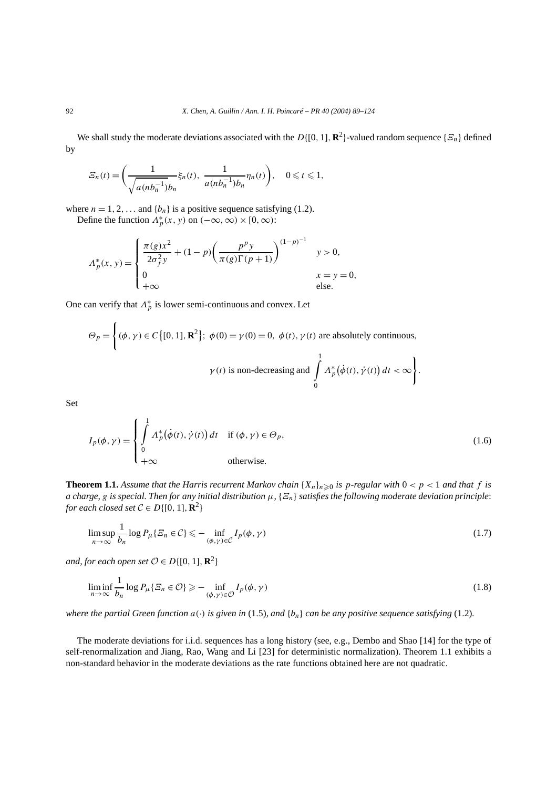We shall study the moderate deviations associated with the  $D\{[0, 1], \mathbb{R}^2\}$ -valued random sequence  $\{\mathcal{Z}_n\}$  defined by

$$
\varXi_n(t) = \left(\frac{1}{\sqrt{a(n b_n^{-1})} b_n} \xi_n(t), \frac{1}{a(n b_n^{-1}) b_n} \eta_n(t)\right), \quad 0 \leq t \leq 1,
$$

where  $n = 1, 2, \ldots$  and  $\{b_n\}$  is a positive sequence satisfying (1.2). Define the function  $\Lambda_p^*(x, y)$  on  $(-\infty, \infty) \times [0, \infty)$ :

$$
\Lambda_p^*(x, y) = \begin{cases} \frac{\pi(g)x^2}{2\sigma_f^2 y} + (1-p) \left( \frac{p^p y}{\pi(g)\Gamma(p+1)} \right)^{(1-p)^{-1}} & y > 0, \\ 0 & x = y = 0, \\ +\infty & \text{else.} \end{cases}
$$

One can verify that  $\Lambda_p^*$  is lower semi-continuous and convex. Let

$$
\Theta_p = \left\{ (\phi, \gamma) \in C \left\{ [0, 1], \mathbf{R}^2 \right\}; \ \phi(0) = \gamma(0) = 0, \ \phi(t), \gamma(t) \text{ are absolutely continuous,}
$$
\n
$$
\gamma(t) \text{ is non-decreasing and } \int_0^1 \Lambda_p^* (\dot{\phi}(t), \dot{\gamma}(t)) dt < \infty \right\}.
$$

Set

$$
I_p(\phi, \gamma) = \begin{cases} \int_0^1 \Lambda_p^* \big(\dot{\phi}(t), \dot{\gamma}(t)\big) dt & \text{if } (\phi, \gamma) \in \Theta_p, \\ 0 & \text{otherwise.} \end{cases}
$$
(1.6)

**Theorem 1.1.** Assume that the Harris recurrent Markov chain  $\{X_n\}_{n\geq 0}$  is p-regular with  $0 < p < 1$  and that f is *a charge, g is special. Then for any initial distribution*  $\mu$ ,  $\{ \mathcal{F}_n \}$  *satisfies the following moderate deviation principle: for each closed set*  $C \in D\{[0, 1], \mathbb{R}^2\}$ 

$$
\limsup_{n \to \infty} \frac{1}{b_n} \log P_{\mu} \{ \varXi_n \in \mathcal{C} \} \leq - \inf_{(\phi, \gamma) \in \mathcal{C}} I_p(\phi, \gamma)
$$
\n(1.7)

*and, for each open set*  $O \in D\{[0, 1], \mathbb{R}^2\}$ 

$$
\liminf_{n \to \infty} \frac{1}{b_n} \log P_{\mu} \{ \varXi_n \in \mathcal{O} \} \ge - \inf_{(\phi, \gamma) \in \mathcal{O}} I_p(\phi, \gamma)
$$
\n(1.8)

*where the partial Green function*  $a(\cdot)$  *is given in* (1.5)*, and*  $\{b_n\}$  *can be any positive sequence satisfying* (1.2)*.* 

The moderate deviations for i.i.d. sequences has a long history (see, e.g., Dembo and Shao [14] for the type of self-renormalization and Jiang, Rao, Wang and Li [23] for deterministic normalization). Theorem 1.1 exhibits a non-standard behavior in the moderate deviations as the rate functions obtained here are not quadratic.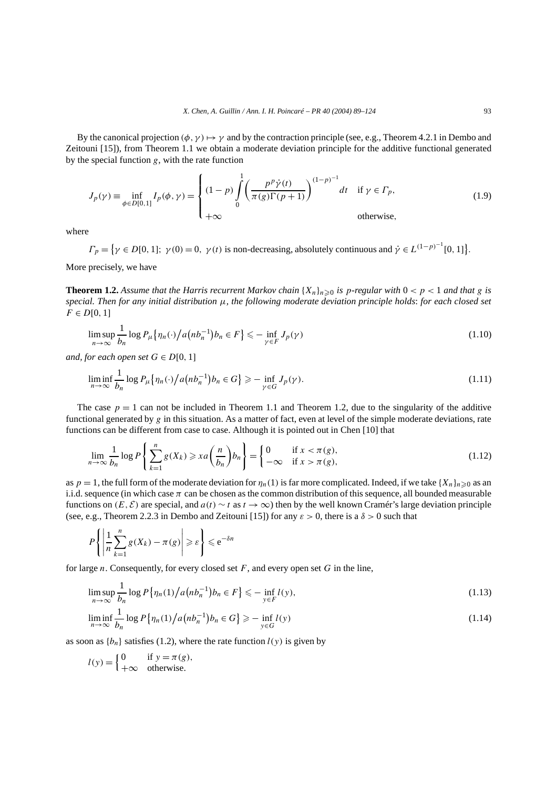By the canonical projection  $(\phi, \gamma) \mapsto \gamma$  and by the contraction principle (see, e.g., Theorem 4.2.1 in Dembo and Zeitouni [15]), from Theorem 1.1 we obtain a moderate deviation principle for the additive functional generated by the special function *g*, with the rate function

$$
J_p(\gamma) \equiv \inf_{\phi \in D[0,1]} I_p(\phi, \gamma) = \begin{cases} (1-p) \int_0^1 \left( \frac{p^p \dot{\gamma}(t)}{\pi(g)\Gamma(p+1)} \right)^{(1-p)^{-1}} dt & \text{if } \gamma \in \Gamma_p, \\ +\infty & \text{otherwise,} \end{cases}
$$
(1.9)

where

 $\Gamma_p = \{ \gamma \in D[0, 1]; \ \gamma(0) = 0, \ \gamma(t) \text{ is non-decreasing, absolutely continuous and } \dot{\gamma} \in L^{(1-p)^{-1}}[0, 1] \}.$ More precisely, we have

**Theorem 1.2.** Assume that the Harris recurrent Markov chain  $\{X_n\}_n \geq 0$  is p-regular with  $0 < p < 1$  and that g is  $special$ *. Then for any initial distribution*  $\mu$ *, the following moderate deviation principle holds: for each closed set*  $F \in D[0, 1]$ 

$$
\limsup_{n \to \infty} \frac{1}{b_n} \log P_{\mu} \left\{ \eta_n(\cdot) \big/ a \big( nb_n^{-1} \big) b_n \in F \right\} \leq - \inf_{\gamma \in F} J_p(\gamma) \tag{1.10}
$$

*and, for each open set*  $G \in D[0, 1]$ 

$$
\liminf_{n \to \infty} \frac{1}{b_n} \log P_{\mu} \{ \eta_n(\cdot) / a \left( nb_n^{-1} \right) b_n \in G \} \ge - \inf_{\gamma \in G} J_p(\gamma). \tag{1.11}
$$

The case  $p = 1$  can not be included in Theorem 1.1 and Theorem 1.2, due to the singularity of the additive functional generated by *g* in this situation. As a matter of fact, even at level of the simple moderate deviations, rate functions can be different from case to case. Although it is pointed out in Chen [10] that

$$
\lim_{n \to \infty} \frac{1}{b_n} \log P\left\{ \sum_{k=1}^n g(X_k) \geq x a\left(\frac{n}{b_n}\right) b_n \right\} = \begin{cases} 0 & \text{if } x < \pi(g), \\ -\infty & \text{if } x > \pi(g), \end{cases} \tag{1.12}
$$

as  $p = 1$ , the full form of the moderate deviation for  $\eta_n(1)$  is far more complicated. Indeed, if we take  $\{X_n\}_{n \geq 0}$  as an i.i.d. sequence (in which case  $\pi$  can be chosen as the common distribution of this sequence, all bounded measurable functions on  $(E, \mathcal{E})$  are special, and  $a(t) \sim t$  as  $t \to \infty$ ) then by the well known Cramér's large deviation principle (see, e.g., Theorem 2.2.3 in Dembo and Zeitouni [15]) for any  $\varepsilon > 0$ , there is a  $\delta > 0$  such that

$$
P\left\{\left|\frac{1}{n}\sum_{k=1}^n g(X_k) - \pi(g)\right| \geqslant \varepsilon\right\} \leqslant e^{-\delta n}
$$

for large *n*. Consequently, for every closed set *F*, and every open set *G* in the line,

$$
\limsup_{n \to \infty} \frac{1}{b_n} \log P\left\{\eta_n(1) \middle/ a\left(n b_n^{-1}\right) b_n \in F\right\} \leq -\inf_{y \in F} l(y),\tag{1.13}
$$

$$
\liminf_{n \to \infty} \frac{1}{b_n} \log P\left\{\eta_n(1) \big/ a\left(n b_n^{-1} \right) b_n \in G\right\} \ge - \inf_{y \in G} l(y) \tag{1.14}
$$

as soon as  $\{b_n\}$  satisfies (1.2), where the rate function  $l(y)$  is given by

$$
l(y) = \begin{cases} 0 & \text{if } y = \pi(g), \\ +\infty & \text{otherwise.} \end{cases}
$$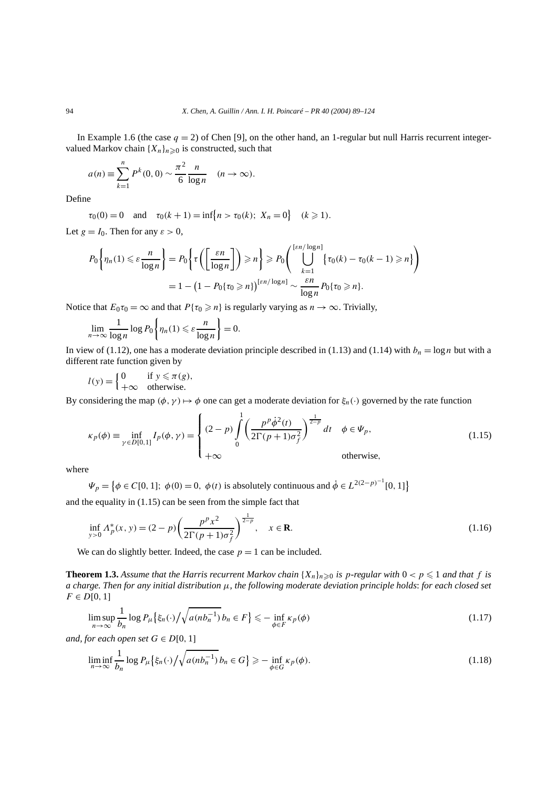In Example 1.6 (the case  $q = 2$ ) of Chen [9], on the other hand, an 1-regular but null Harris recurrent integervalued Markov chain  ${X_n}_{n\geq 0}$  is constructed, such that

$$
a(n) \equiv \sum_{k=1}^{n} P^{k}(0,0) \sim \frac{\pi^{2}}{6} \frac{n}{\log n} \quad (n \to \infty).
$$

Define

 $\tau_0(0) = 0$  and  $\tau_0(k+1) = \inf\{n > \tau_0(k); X_n = 0\}$   $(k \ge 1)$ .

Let  $g = I_0$ . Then for any  $\varepsilon > 0$ ,

$$
P_0\left\{\eta_n(1) \leq \varepsilon \frac{n}{\log n}\right\} = P_0\left\{\tau\left(\left[\frac{\varepsilon n}{\log n}\right]\right) \geq n\right\} \geq P_0\left(\bigcup_{k=1}^{\lfloor \varepsilon n/\log n \rfloor} \{\tau_0(k) - \tau_0(k-1) \geq n\}\right)
$$

$$
= 1 - \left(1 - P_0\{\tau_0 \geq n\}\right)^{\lfloor \varepsilon n/\log n \rfloor} \sim \frac{\varepsilon n}{\log n} P_0\{\tau_0 \geq n\}.
$$

Notice that  $E_0 \tau_0 = \infty$  and that  $P{\tau_0 \geq n}$  is regularly varying as  $n \to \infty$ . Trivially,

$$
\lim_{n \to \infty} \frac{1}{\log n} \log P_0 \left\{ \eta_n(1) \leqslant \varepsilon \frac{n}{\log n} \right\} = 0.
$$

In view of (1.12), one has a moderate deviation principle described in (1.13) and (1.14) with  $b_n = \log n$  but with a different rate function given by

$$
l(y) = \begin{cases} 0 & \text{if } y \leq \pi(g), \\ +\infty & \text{otherwise.} \end{cases}
$$

By considering the map  $(\phi, \gamma) \mapsto \phi$  one can get a moderate deviation for  $\xi_n(\cdot)$  governed by the rate function

$$
\kappa_p(\phi) \equiv \inf_{\gamma \in D[0,1]} I_p(\phi, \gamma) = \begin{cases} (2-p) \int_0^1 \left( \frac{p^p \dot{\phi}^2(t)}{2\Gamma(p+1)\sigma_f^2} \right)^{\frac{1}{2-p}} dt & \phi \in \Psi_p, \\ +\infty & \text{otherwise,} \end{cases}
$$
(1.15)

where

 $\Psi_p = \{ \phi \in C[0, 1]; \ \phi(0) = 0, \ \phi(t) \text{ is absolutely continuous and } \dot{\phi} \in L^{2(2-p)^{-1}}[0, 1] \}$ 

and the equality in (1.15) can be seen from the simple fact that

$$
\inf_{y>0} \Lambda_p^*(x, y) = (2 - p) \left( \frac{p^p x^2}{2\Gamma(p+1)\sigma_f^2} \right)^{\frac{1}{2-p}}, \quad x \in \mathbf{R}.
$$
\n(1.16)

We can do slightly better. Indeed, the case  $p = 1$  can be included.

**Theorem 1.3.** Assume that the Harris recurrent Markov chain  $\{X_n\}_{n\geq 0}$  is p-regular with  $0 < p \leq 1$  and that f is *a charge. Then for any initial distribution µ, the following moderate deviation principle holds*: *for each closed set*  $F \in D[0,1]$ 

$$
\limsup_{n \to \infty} \frac{1}{b_n} \log P_{\mu} \left\{ \xi_n(\cdot) / \sqrt{a(n b_n^{-1})} b_n \in F \right\} \leq - \inf_{\phi \in F} \kappa_p(\phi) \tag{1.17}
$$

*and, for each open set*  $G \in D[0, 1]$ 

$$
\liminf_{n \to \infty} \frac{1}{b_n} \log P_{\mu} \left\{ \xi_n(\cdot) / \sqrt{a(n b_n^{-1})} b_n \in G \right\} \ge - \inf_{\phi \in G} \kappa_p(\phi). \tag{1.18}
$$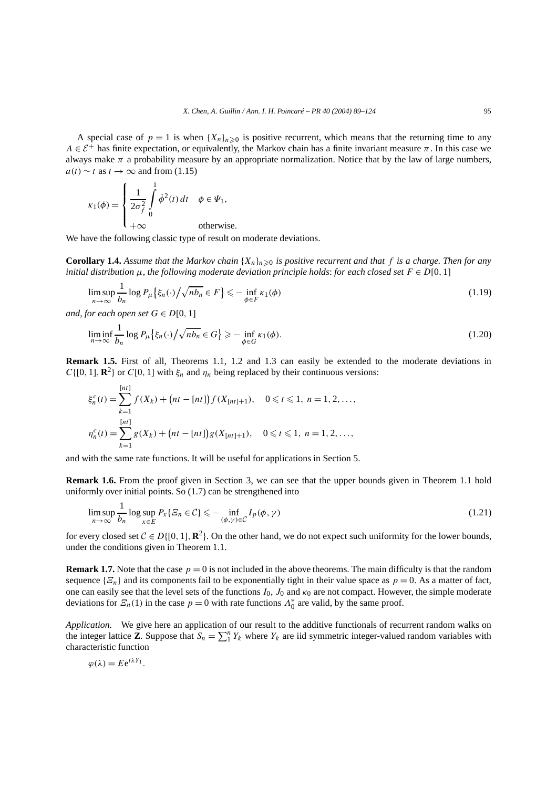A special case of  $p = 1$  is when  $\{X_n\}_{n \geq 0}$  is positive recurrent, which means that the returning time to any *A*  $\in \mathcal{E}^+$  has finite expectation, or equivalently, the Markov chain has a finite invariant measure  $\pi$ . In this case we always make  $\pi$  a probability measure by an appropriate normalization. Notice that by the law of large numbers,  $a(t) \sim t$  as  $t \to \infty$  and from (1.15)

$$
\kappa_1(\phi) = \begin{cases} \frac{1}{2\sigma_f^2} \int_0^1 \dot{\phi}^2(t) dt & \phi \in \Psi_1, \\ +\infty & \text{otherwise.} \end{cases}
$$

We have the following classic type of result on moderate deviations.

**Corollary 1.4.** Assume that the Markov chain  $\{X_n\}_{n\geq 0}$  is positive recurrent and that f is a charge. Then for any *initial distribution*  $\mu$ *, the following moderate deviation principle holds: for each closed set*  $F \in D[0, 1]$ 

$$
\limsup_{n \to \infty} \frac{1}{b_n} \log P_{\mu} \{\xi_n(\cdot) / \sqrt{n b_n} \in F\} \leq - \inf_{\phi \in F} \kappa_1(\phi)
$$
\n(1.19)

*and, for each open set*  $G \in D[0, 1]$ 

 $\mathbb{R}^2$ 

$$
\liminf_{n \to \infty} \frac{1}{b_n} \log P_{\mu} \{ \xi_n(\cdot) / \sqrt{n b_n} \in G \} \ge - \inf_{\phi \in G} \kappa_1(\phi). \tag{1.20}
$$

**Remark 1.5.** First of all, Theorems 1.1, 1.2 and 1.3 can easily be extended to the moderate deviations in *C*{[0*,* 1], **R**<sup>2</sup>} or *C*[0*,* 1] with  $\xi_n$  and  $\eta_n$  being replaced by their continuous versions:

$$
\xi_n^c(t) = \sum_{k=1}^{[nt]} f(X_k) + (nt - [nt]) f(X_{[nt]+1}), \quad 0 \le t \le 1, \ n = 1, 2, \dots,
$$
  

$$
\eta_n^c(t) = \sum_{k=1}^{[nt]} g(X_k) + (nt - [nt]) g(X_{[nt]+1}), \quad 0 \le t \le 1, \ n = 1, 2, \dots,
$$

and with the same rate functions. It will be useful for applications in Section 5.

**Remark 1.6.** From the proof given in Section 3, we can see that the upper bounds given in Theorem 1.1 hold uniformly over initial points. So (1.7) can be strengthened into

$$
\limsup_{n \to \infty} \frac{1}{b_n} \log \sup_{x \in E} P_x \{ \varXi_n \in \mathcal{C} \} \leq - \inf_{(\phi, \gamma) \in \mathcal{C}} I_p(\phi, \gamma)
$$
\n(1.21)

for every closed set  $C \in D\{[0, 1], \mathbb{R}^2\}$ . On the other hand, we do not expect such uniformity for the lower bounds, under the conditions given in Theorem 1.1.

**Remark 1.7.** Note that the case  $p = 0$  is not included in the above theorems. The main difficulty is that the random sequence  $\{\mathcal{E}_n\}$  and its components fail to be exponentially tight in their value space as  $p = 0$ . As a matter of fact, one can easily see that the level sets of the functions  $I_0$ ,  $J_0$  and  $\kappa_0$  are not compact. However, the simple moderate deviations for  $\mathcal{Z}_n(1)$  in the case  $p = 0$  with rate functions  $\Lambda_0^*$  are valid, by the same proof.

*Application.* We give here an application of our result to the additive functionals of recurrent random walks on the integer lattice **Z**. Suppose that  $S_n = \sum_{i=1}^{n} Y_k$  where  $Y_k$  are iid symmetric integer-valued random variables with characteristic function

$$
\varphi(\lambda) = E e^{i\lambda Y_1}.
$$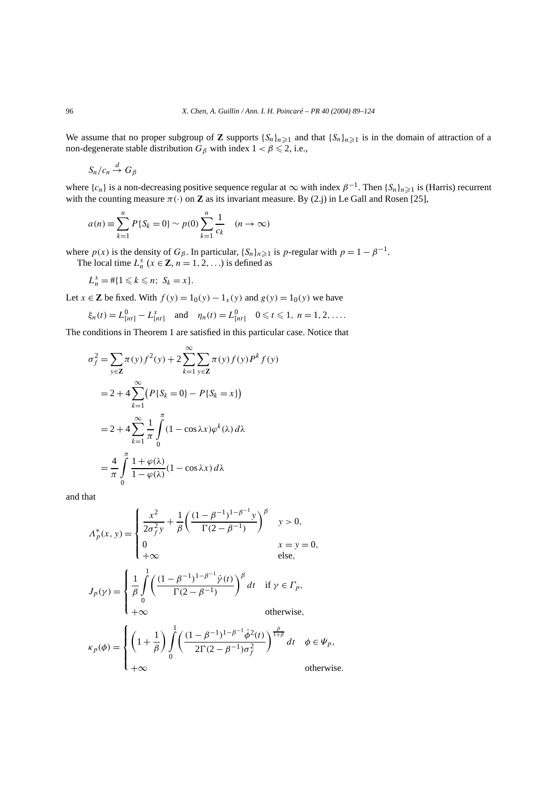We assume that no proper subgroup of **Z** supports  $\{S_n\}_{n\geq 1}$  and that  $\{S_n\}_{n\geq 1}$  is in the domain of attraction of a non-degenerate stable distribution  $G_\beta$  with index  $1 < \beta \leq 2$ , i.e.,

$$
S_n/c_n \stackrel{d}{\to} G_{\beta}
$$

where  ${c_n}$  is a non-decreasing positive sequence regular at  $\infty$  with index  $\beta^{-1}$ . Then  ${S_n}_{n\geq 1}$  is (Harris) recurrent with the counting measure  $\pi(\cdot)$  on **Z** as its invariant measure. By (2.j) in Le Gall and Rosen [25],

$$
a(n) \equiv \sum_{k=1}^{n} P\{S_k = 0\} \sim p(0) \sum_{k=1}^{n} \frac{1}{c_k} \quad (n \to \infty)
$$

where  $p(x)$  is the density of  $G_\beta$ . In particular,  $\{S_n\}_{n\geq 1}$  is *p*-regular with  $p = 1 - \beta^{-1}$ . The local time  $L_n^x$  ( $x \in \mathbb{Z}$ ,  $n = 1, 2, ...$ ) is defined as

$$
L_n^x = \#\{1 \leq k \leq n; \ S_k = x\}.
$$

Let *x* ∈ **Z** be fixed. With *f*(*y*) =  $1_0(y) - 1_x(y)$  and *g*(*y*) =  $1_0(y)$  we have

$$
\xi_n(t) = L_{[nt]}^0 - L_{[nt]}^x
$$
 and  $\eta_n(t) = L_{[nt]}^0$   $0 \le t \le 1, n = 1, 2, ....$ 

The conditions in Theorem 1 are satisfied in this particular case. Notice that

$$
\sigma_f^2 = \sum_{y \in \mathbf{Z}} \pi(y) f^2(y) + 2 \sum_{k=1}^{\infty} \sum_{y \in \mathbf{Z}} \pi(y) f(y) P^k f(y)
$$
  
= 2 + 4  $\sum_{k=1}^{\infty} (P\{S_k = 0\} - P\{S_k = x\})$   
= 2 + 4  $\sum_{k=1}^{\infty} \frac{1}{\pi} \int_{0}^{\pi} (1 - \cos \lambda x) \varphi^k(\lambda) d\lambda$   
=  $\frac{4}{\pi} \int_{0}^{\pi} \frac{1 + \varphi(\lambda)}{1 - \varphi(\lambda)} (1 - \cos \lambda x) d\lambda$ 

and that

$$
A_p^*(x, y) = \begin{cases} \frac{x^2}{2\sigma_f^2 y} + \frac{1}{\beta} \left( \frac{(1-\beta^{-1})^{1-\beta^{-1}} y}{\Gamma(2-\beta^{-1})} \right)^{\beta} & y > 0, \\ 0 & x = y = 0, \\ +\infty & \text{else,} \end{cases}
$$
  

$$
J_p(\gamma) = \begin{cases} \frac{1}{\beta} \int_0^1 \left( \frac{(1-\beta^{-1})^{1-\beta^{-1}} \dot{\gamma}(t)}{\Gamma(2-\beta^{-1})} \right)^{\beta} dt & \text{if } \gamma \in \Gamma_p, \\ +\infty & \text{otherwise,} \end{cases}
$$
  

$$
\kappa_p(\phi) = \begin{cases} \left(1 + \frac{1}{\beta}\right) \int_0^1 \left( \frac{(1-\beta^{-1})^{1-\beta^{-1}} \dot{\phi}^2(t)}{2\Gamma(2-\beta^{-1})\sigma_f^2} \right)^{\frac{\beta}{1+\beta}} dt & \phi \in \Psi_p, \\ +\infty & \text{otherwise.} \end{cases}
$$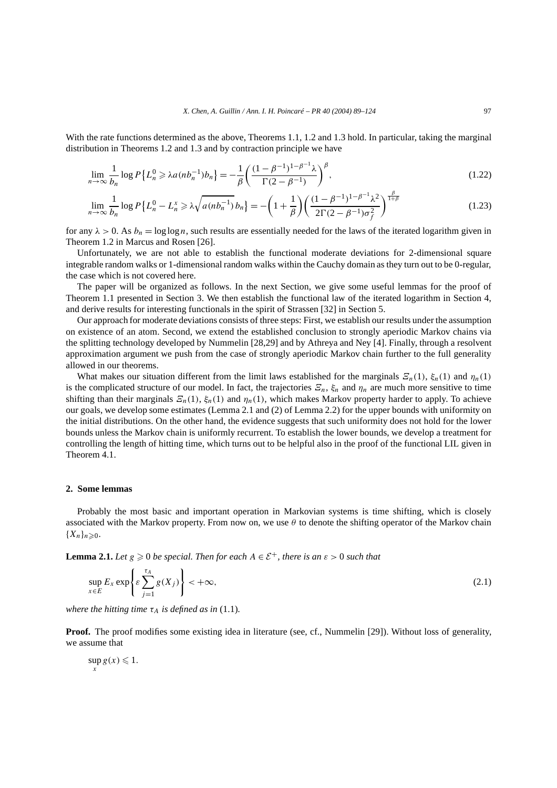With the rate functions determined as the above, Theorems 1.1, 1.2 and 1.3 hold. In particular, taking the marginal distribution in Theorems 1.2 and 1.3 and by contraction principle we have

$$
\lim_{n \to \infty} \frac{1}{b_n} \log P\left\{ L_n^0 \ge \lambda a (nb_n^{-1}) b_n \right\} = -\frac{1}{\beta} \left( \frac{(1 - \beta^{-1})^{1 - \beta^{-1}} \lambda}{\Gamma(2 - \beta^{-1})} \right)^{\beta},\tag{1.22}
$$

$$
\lim_{n \to \infty} \frac{1}{b_n} \log P \left\{ L_n^0 - L_n^x \ge \lambda \sqrt{a(n b_n^{-1})} b_n \right\} = -\left( 1 + \frac{1}{\beta} \right) \left( \frac{(1 - \beta^{-1})^{1 - \beta^{-1}} \lambda^2}{2\Gamma(2 - \beta^{-1}) \sigma_f^2} \right)^{\frac{\beta}{1 + \beta}}
$$
(1.23)

for any  $\lambda > 0$ . As  $b_n = \log \log n$ , such results are essentially needed for the laws of the iterated logarithm given in Theorem 1.2 in Marcus and Rosen [26].

Unfortunately, we are not able to establish the functional moderate deviations for 2-dimensional square integrable random walks or 1-dimensional random walks within the Cauchy domain as they turn out to be 0-regular, the case which is not covered here.

The paper will be organized as follows. In the next Section, we give some useful lemmas for the proof of Theorem 1.1 presented in Section 3. We then establish the functional law of the iterated logarithm in Section 4, and derive results for interesting functionals in the spirit of Strassen [32] in Section 5.

Our approach for moderate deviations consists of three steps: First, we establish our results under the assumption on existence of an atom. Second, we extend the established conclusion to strongly aperiodic Markov chains via the splitting technology developed by Nummelin [28,29] and by Athreya and Ney [4]. Finally, through a resolvent approximation argument we push from the case of strongly aperiodic Markov chain further to the full generality allowed in our theorems.

What makes our situation different from the limit laws established for the marginals  $\mathcal{Z}_n(1)$ ,  $\xi_n(1)$  and  $\eta_n(1)$ is the complicated structure of our model. In fact, the trajectories  $E_n$ ,  $\xi_n$  and  $\eta_n$  are much more sensitive to time shifting than their marginals  $E_n(1)$ ,  $\xi_n(1)$  and  $\eta_n(1)$ , which makes Markov property harder to apply. To achieve our goals, we develop some estimates (Lemma 2.1 and (2) of Lemma 2.2) for the upper bounds with uniformity on the initial distributions. On the other hand, the evidence suggests that such uniformity does not hold for the lower bounds unless the Markov chain is uniformly recurrent. To establish the lower bounds, we develop a treatment for controlling the length of hitting time, which turns out to be helpful also in the proof of the functional LIL given in Theorem 4.1.

# **2. Some lemmas**

Probably the most basic and important operation in Markovian systems is time shifting, which is closely associated with the Markov property. From now on, we use *θ* to denote the shifting operator of the Markov chain  ${X_n}_{n\geqslant0}$ .

**Lemma 2.1.** *Let*  $g \ge 0$  *be special. Then for each*  $A \in \mathcal{E}^+$ , *there is an*  $\varepsilon > 0$  *such that* 

$$
\sup_{x \in E} E_x \exp \left\{ \varepsilon \sum_{j=1}^{\tau_A} g(X_j) \right\} < +\infty,
$$
\n(2.1)

*where the hitting time*  $\tau_A$  *is defined as in* (1.1).

**Proof.** The proof modifies some existing idea in literature (see, cf., Nummelin [29]). Without loss of generality, we assume that

$$
\sup_{x} g(x) \leq 1.
$$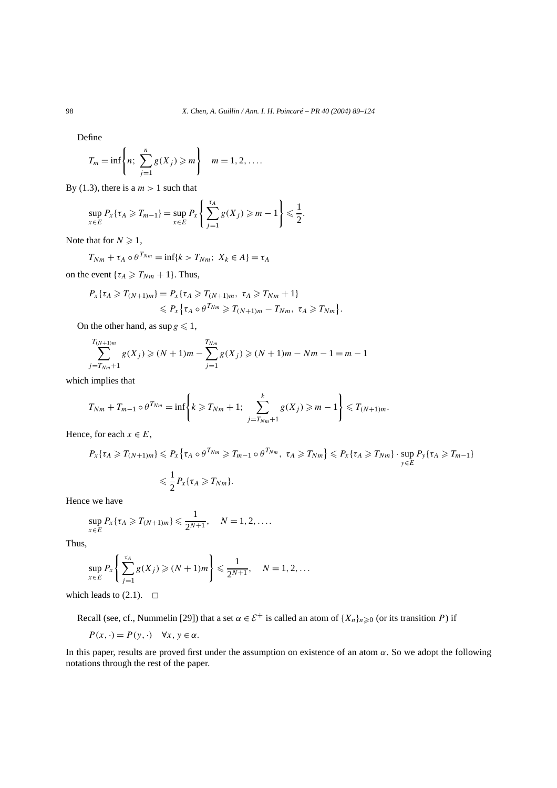Define

$$
T_m = \inf \left\{ n; \sum_{j=1}^n g(X_j) \geq m \right\} \quad m = 1, 2, ....
$$

By (1.3), there is a  $m > 1$  such that

$$
\sup_{x \in E} P_x\{\tau_A \ge T_{m-1}\} = \sup_{x \in E} P_x\left\{\sum_{j=1}^{\tau_A} g(X_j) \ge m-1\right\} \le \frac{1}{2}.
$$

Note that for  $N \geq 1$ ,

$$
T_{Nm} + \tau_A \circ \theta^{T_{Nm}} = \inf\{k > T_{Nm}; \ X_k \in A\} = \tau_A
$$

on the event  $\{\tau_A \geq T_{Nm} + 1\}$ . Thus,

$$
P_{X}\{\tau_{A} \geqslant T_{(N+1)m}\}=P_{X}\{\tau_{A} \geqslant T_{(N+1)m}, \tau_{A} \geqslant T_{Nm}+1\}
$$
  
\$\leqslant P\_{X}\{\tau\_{A} \circ \theta^{T\_{Nm}} \geqslant T\_{(N+1)m}-T\_{Nm}, \tau\_{A} \geqslant T\_{Nm}\}\$

On the other hand, as  $\sup g \leq 1$ ,

$$
\sum_{j=T_{Nm}+1}^{T_{(N+1)m}} g(X_j) \ge (N+1)m - \sum_{j=1}^{T_{Nm}} g(X_j) \ge (N+1)m - Nm - 1 = m - 1
$$

which implies that

$$
T_{Nm} + T_{m-1} \circ \theta^{T_{Nm}} = \inf \left\{ k \geq T_{Nm} + 1; \sum_{j=T_{Nm}+1}^{k} g(X_j) \geq m - 1 \right\} \leq T_{(N+1)m}.
$$

Hence, for each  $x \in E$ ,

$$
P_{X}\{\tau_{A}\geq T_{(N+1)m}\}\leq P_{X}\{\tau_{A}\circ\theta^{T_{Nm}}\geq T_{m-1}\circ\theta^{T_{Nm}},\ \tau_{A}\geq T_{Nm}\}\leq P_{X}\{\tau_{A}\geq T_{Nm}\}\cdot \sup_{y\in E}P_{y}\{\tau_{A}\geq T_{m-1}\}\leq \frac{1}{2}P_{X}\{\tau_{A}\geq T_{Nm}\}.
$$

*.*

Hence we have

$$
\sup_{x\in E} P_x\{\tau_A \geqslant T_{(N+1)m}\}\leqslant \frac{1}{2^{N+1}},\quad N=1,2,\ldots.
$$

Thus,

$$
\sup_{x \in E} P_x \left\{ \sum_{j=1}^{\tau_A} g(X_j) \geqslant (N+1)m \right\} \leqslant \frac{1}{2^{N+1}}, \quad N = 1, 2, \dots
$$

which leads to  $(2.1)$ .  $\Box$ 

Recall (see, cf., Nummelin [29]) that a set  $\alpha \in \mathcal{E}^+$  is called an atom of  $\{X_n\}_{n \geq 0}$  (or its transition *P*) if

$$
P(x, \cdot) = P(y, \cdot) \quad \forall x, y \in \alpha.
$$

In this paper, results are proved first under the assumption on existence of an atom *α*. So we adopt the following notations through the rest of the paper.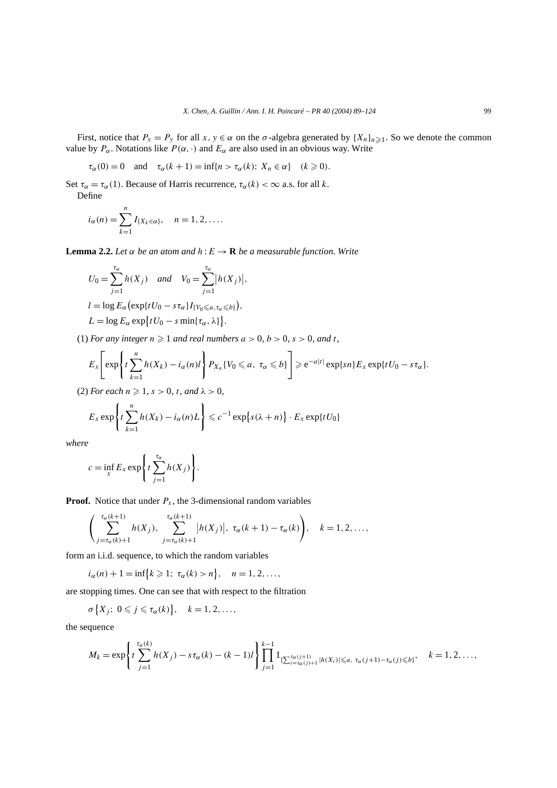First, notice that  $P_x = P_y$  for all  $x, y \in \alpha$  on the  $\sigma$ -algebra generated by  $\{X_n\}_{n \geq 1}$ . So we denote the common value by  $P_\alpha$ . Notations like  $P(\alpha, \cdot)$  and  $E_\alpha$  are also used in an obvious way. Write

$$
\tau_{\alpha}(0) = 0
$$
 and  $\tau_{\alpha}(k+1) = \inf\{n > \tau_{\alpha}(k): X_n \in \alpha\}$   $(k \ge 0).$ 

Set  $\tau_{\alpha} = \tau_{\alpha}(1)$ . Because of Harris recurrence,  $\tau_{\alpha}(k) < \infty$  a.s. for all *k*. Define

$$
i_{\alpha}(n) = \sum_{k=1}^{n} I_{\{X_k \in \alpha\}}, \quad n = 1, 2, \dots
$$

**Lemma 2.2.** *Let*  $\alpha$  *be an atom and*  $h : E \to \mathbf{R}$  *be a measurable function. Write* 

$$
U_0 = \sum_{j=1}^{\tau_\alpha} h(X_j) \quad and \quad V_0 = \sum_{j=1}^{\tau_\alpha} |h(X_j)|,
$$
  
\n
$$
l = \log E_\alpha \left( \exp\{tU_0 - s\tau_\alpha\} I_{\{V_0 \le \alpha, \tau_\alpha \le b\}} \right),
$$
  
\n
$$
L = \log E_\alpha \exp\{tU_0 - s\min\{\tau_\alpha, \lambda\} \}.
$$

(1) *For any integer*  $n \ge 1$  *and real numbers*  $a > 0$ ,  $b > 0$ ,  $s > 0$ , and t,

$$
E_x\left[\exp\left\{t\sum_{k=1}^n h(X_k)-i_\alpha(n)t\right\}P_{X_n}\{V_0\leqslant a,\ \tau_\alpha\leqslant b\}\right]\geqslant e^{-a|t|}\exp\{sn\}E_x\exp\{tU_0-s\tau_\alpha\}.
$$

(2) *For each*  $n \ge 1$ *, s* > 0*, t, and*  $\lambda$  > 0*,* 

$$
E_x \exp\left\{t\sum_{k=1}^n h(X_k) - i_\alpha(n)L\right\} \leqslant c^{-1} \exp\left\{s(\lambda+n)\right\} \cdot E_x \exp\{tU_0\}
$$

*where*

$$
c = \inf_{x} E_x \exp\left\{t \sum_{j=1}^{\tau_\alpha} h(X_j)\right\}.
$$

**Proof.** Notice that under  $P_x$ , the 3-dimensional random variables

$$
\left(\sum_{j=\tau_{\alpha}(k)+1}^{\tau_{\alpha}(k+1)}h(X_j),\sum_{j=\tau_{\alpha}(k)+1}^{\tau_{\alpha}(k+1)}\left|h(X_j)\right|, \ \tau_{\alpha}(k+1)-\tau_{\alpha}(k)\right), \quad k=1,2,\ldots,
$$

form an i.i.d. sequence, to which the random variables

$$
i_{\alpha}(n) + 1 = \inf\{k \ge 1; \ \tau_{\alpha}(k) > n\}, \quad n = 1, 2, \ldots,
$$

are stopping times. One can see that with respect to the filtration

$$
\sigma\big\{X_j;\ 0\leqslant j\leqslant\tau_\alpha(k)\big\},\quad k=1,2,\ldots,
$$

the sequence

$$
M_k = \exp\left\{t\sum_{j=1}^{\tau_{\alpha}(k)}h(X_j) - s\tau_{\alpha}(k) - (k-1)l\right\}\prod_{j=1}^{k-1} 1_{\{\sum_{i=\tau_{\alpha}(j)+1}^{\tau_{\alpha}(j+1)}|h(X_i)|\leqslant a,\ \tau_{\alpha}(j+1)-\tau_{\alpha}(j)\leqslant b\}}, \quad k=1,2,\ldots,
$$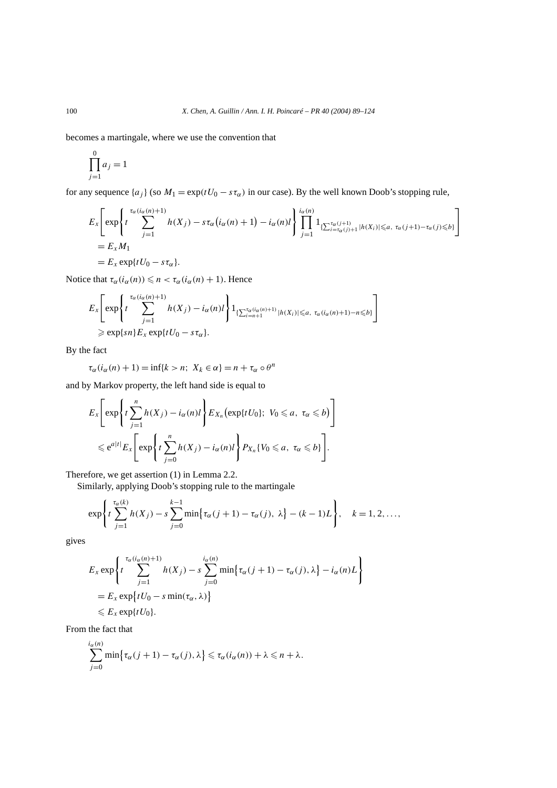becomes a martingale, where we use the convention that

$$
\prod_{j=1}^{0} a_j = 1
$$

for any sequence  $\{a_j\}$  (so  $M_1 = \exp(tU_0 - s\tau_\alpha)$  in our case). By the well known Doob's stopping rule,

$$
E_x \left[ \exp \left\{ t \sum_{j=1}^{\tau_\alpha(i_\alpha(n)+1)} h(X_j) - s \tau_\alpha(i_\alpha(n)+1) - i_\alpha(n) t \right\} \prod_{j=1}^{i_\alpha(n)} 1_{\{\sum_{i=\tau_\alpha(j)+1}^{\tau_\alpha(j+1)} |h(X_i)| \le a, \ \tau_\alpha(j+1) - \tau_\alpha(j) \le b\}} \right]
$$
  
=  $E_x M_1$   
=  $E_x \exp\{tU_0 - s\tau_\alpha\}.$ 

Notice that  $\tau_{\alpha}(i_{\alpha}(n)) \leq n < \tau_{\alpha}(i_{\alpha}(n) + 1)$ . Hence

$$
E_x \left[ \exp \left\{ t \sum_{j=1}^{\tau_\alpha(i_\alpha(n)+1)} h(X_j) - i_\alpha(n) t \right\} \right] \mathop{\mathbf{1}}\nolimits_{\{\sum_{i=n+1}^{\tau_\alpha(i_\alpha(n)+1)} |h(X_i)| \leq a, \ \tau_\alpha(i_\alpha(n)+1) - n \leq b\}} \right]
$$
  
\n
$$
\geq \exp\{sn\} E_x \exp\{tU_0 - s\tau_\alpha\}.
$$

By the fact

$$
\tau_{\alpha}(i_{\alpha}(n) + 1) = \inf\{k > n; \ X_k \in \alpha\} = n + \tau_{\alpha} \circ \theta^n
$$

and by Markov property, the left hand side is equal to

$$
E_x \left[ \exp \left\{ t \sum_{j=1}^n h(X_j) - i_\alpha(n)l \right\} E_{X_n} \left( \exp \{ tU_0 \}; \ V_0 \leq a, \ \tau_\alpha \leq b \right) \right]
$$
  

$$
\leq e^{a|t|} E_x \left[ \exp \left\{ t \sum_{j=0}^n h(X_j) - i_\alpha(n)l \right\} P_{X_n} \{ V_0 \leq a, \ \tau_\alpha \leq b \} \right].
$$

Therefore, we get assertion (1) in Lemma 2.2.

Similarly, applying Doob's stopping rule to the martingale

$$
\exp\left\{t\sum_{j=1}^{\tau_{\alpha}(k)}h(X_j)-s\sum_{j=0}^{k-1}\min\{\tau_{\alpha}(j+1)-\tau_{\alpha}(j),\lambda\}-(k-1)L\right\},\quad k=1,2,\ldots,
$$

gives

$$
E_x \exp\left\{t \sum_{j=1}^{\tau_\alpha(i_\alpha(n)+1)} h(X_j) - s \sum_{j=0}^{i_\alpha(n)} \min\{\tau_\alpha(j+1) - \tau_\alpha(j), \lambda\} - i_\alpha(n)L\right\}
$$
  
=  $E_x \exp\{tU_0 - s \min(\tau_\alpha, \lambda)\}$   
 $\le E_x \exp\{tU_0\}.$ 

From the fact that

$$
\sum_{j=0}^{i_{\alpha}(n)} \min \{ \tau_{\alpha}(j+1) - \tau_{\alpha}(j), \lambda \} \leq \tau_{\alpha}(i_{\alpha}(n)) + \lambda \leq n + \lambda.
$$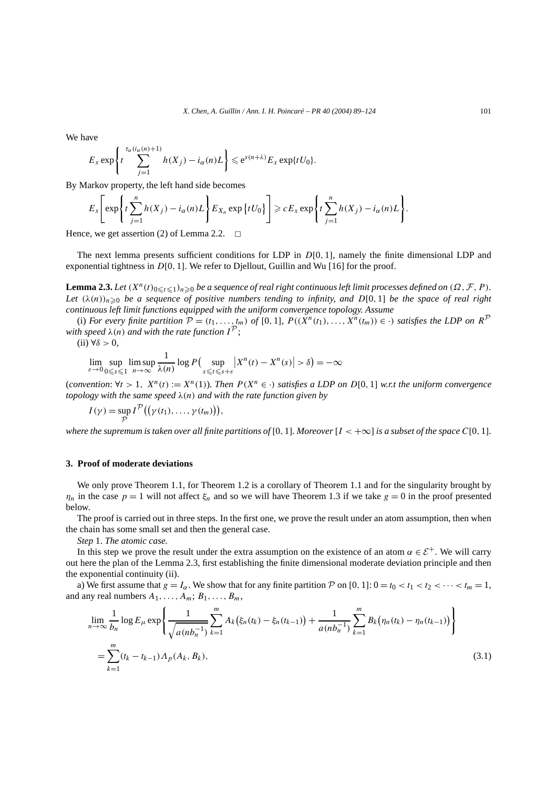We have

$$
E_x \exp\left\{t \sum_{j=1}^{\tau_\alpha(i_\alpha(n)+1)} h(X_j) - i_\alpha(n)L\right\} \leqslant e^{s(n+\lambda)} E_x \exp\{tU_0\}.
$$

By Markov property, the left hand side becomes

$$
E_x\left[\exp\left\{t\sum_{j=1}^n h(X_j)-i_{\alpha}(n)L\right\}E_{X_n}\exp\left\{tU_0\right\}\right]\geqslant cE_x\exp\left\{t\sum_{j=1}^n h(X_j)-i_{\alpha}(n)L\right\}.
$$

Hence, we get assertion (2) of Lemma 2.2.  $\Box$ 

The next lemma presents sufficient conditions for LDP in *D*[0*,* 1], namely the finite dimensional LDP and exponential tightness in *D*[0*,* 1]. We refer to Djellout, Guillin and Wu [16] for the proof.

**Lemma 2.3.** Let  $(X^n(t)_{0 \le t \le 1})_{n \ge 0}$  be a sequence of real right continuous left limit processes defined on  $(\Omega, \mathcal{F}, P)$ . Let  $(\lambda(n))_{n\geq 0}$  be a sequence of positive numbers tending to infinity, and  $D[0,1]$  be the space of real right *continuous left limit functions equipped with the uniform convergence topology. Assume*

(i) For every finite partition  $P = (t_1, \ldots, t_m)$  of  $[0, 1]$ ,  $P((X^n(t_1), \ldots, X^n(t_m)) \in \cdot)$  satisfies the LDP on  $R^{\mathcal{P}}$ *with speed*  $\lambda$ (*n*) *and with the rate function*  $I^{\mathcal{P}}$ ;

(ii) ∀*δ >* 0*,*

 $\lim_{\varepsilon \to 0} \sup_{0 \leq s \leq 1}$ lim sup *n*→∞  $\frac{1}{\lambda(n)} \log P\left(\sup_{s \le t \le s}$ *s*-*t*-*s*+*ε*  $|X^n(t) - X^n(s)| > \delta$ ) = -∞

(*convention*:  $\forall t > 1$ ,  $X^n(t) := X^n(1)$ *). Then*  $P(X^n \in \cdot)$  *satisfies a LDP on D*[0, 1] *w.r.t the uniform convergence topology with the same speed λ(n) and with the rate function given by*

$$
I(\gamma) = \sup_{\mathcal{P}} I^{\mathcal{P}}((\gamma(t_1), \ldots, \gamma(t_m))),
$$

*where the supremum is taken over all finite partitions of* [0, 1]. Moreover  $[I < +\infty]$  *is a subset of the space*  $C[0, 1]$ *.* 

#### **3. Proof of moderate deviations**

We only prove Theorem 1.1, for Theorem 1.2 is a corollary of Theorem 1.1 and for the singularity brought by *η<sub>n</sub>* in the case  $p = 1$  will not affect *ξ<sub>n</sub>* and so we will have Theorem 1.3 if we take  $g = 0$  in the proof presented below.

The proof is carried out in three steps. In the first one, we prove the result under an atom assumption, then when the chain has some small set and then the general case.

*Step* 1. *The atomic case.*

In this step we prove the result under the extra assumption on the existence of an atom  $\alpha \in \mathcal{E}^+$ . We will carry out here the plan of the Lemma 2.3, first establishing the finite dimensional moderate deviation principle and then the exponential continuity (ii).

a) We first assume that  $g = I_\alpha$ . We show that for any finite partition P on [0, 1]:  $0 = t_0 < t_1 < t_2 < \cdots < t_m = 1$ , and any real numbers  $A_1, \ldots, A_m; B_1, \ldots, B_m$ ,

$$
\lim_{n \to \infty} \frac{1}{b_n} \log E_{\mu} \exp \left\{ \frac{1}{\sqrt{a(n b_n^{-1})}} \sum_{k=1}^m A_k \left( \xi_n(t_k) - \xi_n(t_{k-1}) \right) + \frac{1}{a(n b_n^{-1})} \sum_{k=1}^m B_k \left( \eta_n(t_k) - \eta_n(t_{k-1}) \right) \right\}
$$
\n
$$
= \sum_{k=1}^m (t_k - t_{k-1}) \Lambda_p(A_k, B_k), \tag{3.1}
$$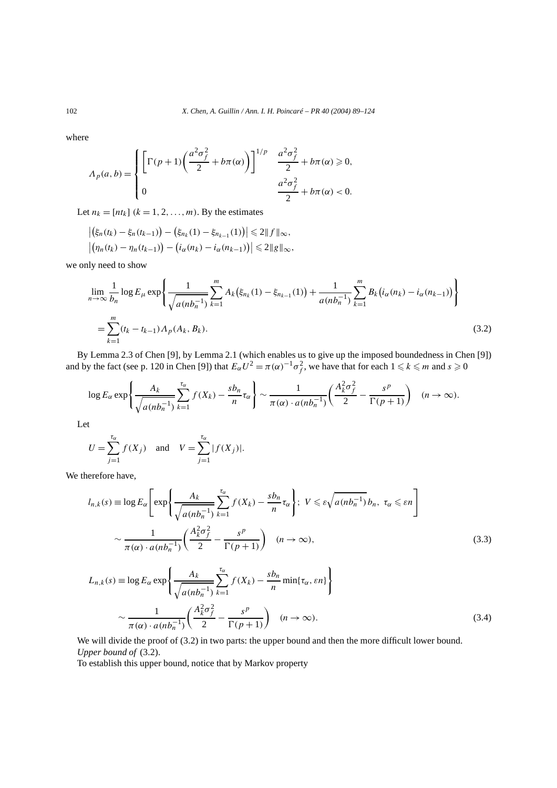where

$$
\Lambda_p(a,b) = \begin{cases} \left[\Gamma(p+1)\left(\frac{a^2\sigma_f^2}{2} + b\pi(\alpha)\right)\right]^{1/p} & \frac{a^2\sigma_f^2}{2} + b\pi(\alpha) \geq 0, \\ 0 & \frac{a^2\sigma_f^2}{2} + b\pi(\alpha) < 0. \end{cases}
$$

Let  $n_k = [nt_k]$   $(k = 1, 2, ..., m)$ . By the estimates

$$
\left| \left( \xi_n(t_k) - \xi_n(t_{k-1}) \right) - \left( \xi_{n_k}(1) - \xi_{n_{k-1}}(1) \right) \right| \leq 2 \| f \|_{\infty},
$$
  

$$
\left| \left( \eta_n(t_k) - \eta_n(t_{k-1}) \right) - \left( i_{\alpha}(n_k) - i_{\alpha}(n_{k-1}) \right) \right| \leq 2 \| g \|_{\infty},
$$

we only need to show

$$
\lim_{n \to \infty} \frac{1}{b_n} \log E_{\mu} \exp \left\{ \frac{1}{\sqrt{a(nb_n^{-1})}} \sum_{k=1}^m A_k(\xi_{n_k}(1) - \xi_{n_{k-1}}(1)) + \frac{1}{a(nb_n^{-1})} \sum_{k=1}^m B_k(i_{\alpha}(n_k) - i_{\alpha}(n_{k-1})) \right\}
$$
\n
$$
= \sum_{k=1}^m (t_k - t_{k-1}) \Lambda_p(A_k, B_k).
$$
\n(3.2)

By Lemma 2.3 of Chen [9], by Lemma 2.1 (which enables us to give up the imposed boundedness in Chen [9]) and by the fact (see p. 120 in Chen [9]) that  $E_{\alpha}U^2 = \pi(\alpha)^{-1}\sigma_f^2$ , we have that for each  $1 \leq k \leq m$  and  $s \geq 0$ 

$$
\log E_{\alpha} \exp \left\{ \frac{A_k}{\sqrt{a(nb_n^{-1})}} \sum_{k=1}^{\tau_{\alpha}} f(X_k) - \frac{s b_n}{n} \tau_{\alpha} \right\} \sim \frac{1}{\pi(\alpha) \cdot a(nb_n^{-1})} \left( \frac{A_k^2 \sigma_f^2}{2} - \frac{s^p}{\Gamma(p+1)} \right) \quad (n \to \infty).
$$

Let

$$
U = \sum_{j=1}^{\tau_{\alpha}} f(X_j)
$$
 and  $V = \sum_{j=1}^{\tau_{\alpha}} |f(X_j)|$ .

We therefore have,

$$
l_{n,k}(s) \equiv \log E_{\alpha} \left[ \exp \left\{ \frac{A_k}{\sqrt{a(nb_n^{-1})}} \sum_{k=1}^{\tau_{\alpha}} f(X_k) - \frac{s b_n}{n} \tau_{\alpha} \right\}; \ V \leq \varepsilon \sqrt{a(nb_n^{-1})} b_n, \ \tau_{\alpha} \leq \varepsilon n \right\}
$$

$$
\sim \frac{1}{\pi(\alpha) \cdot a(nb_n^{-1})} \left( \frac{A_k^2 \sigma_f^2}{2} - \frac{s^p}{\Gamma(p+1)} \right) \quad (n \to \infty), \tag{3.3}
$$

$$
L_{n,k}(s) \equiv \log E_{\alpha} \exp \left\{ \frac{A_k}{\sqrt{a(nb_n^{-1})}} \sum_{k=1}^{\tau_{\alpha}} f(X_k) - \frac{s b_n}{n} \min\{\tau_{\alpha}, \varepsilon n\} \right\}
$$

$$
\sim \frac{1}{\pi(\alpha) \cdot a(nb_n^{-1})} \left( \frac{A_k^2 \sigma_f^2}{2} - \frac{s^p}{\Gamma(p+1)} \right) \quad (n \to \infty).
$$
(3.4)

We will divide the proof of  $(3.2)$  in two parts: the upper bound and then the more difficult lower bound. *Upper bound of* (3.2).

To establish this upper bound, notice that by Markov property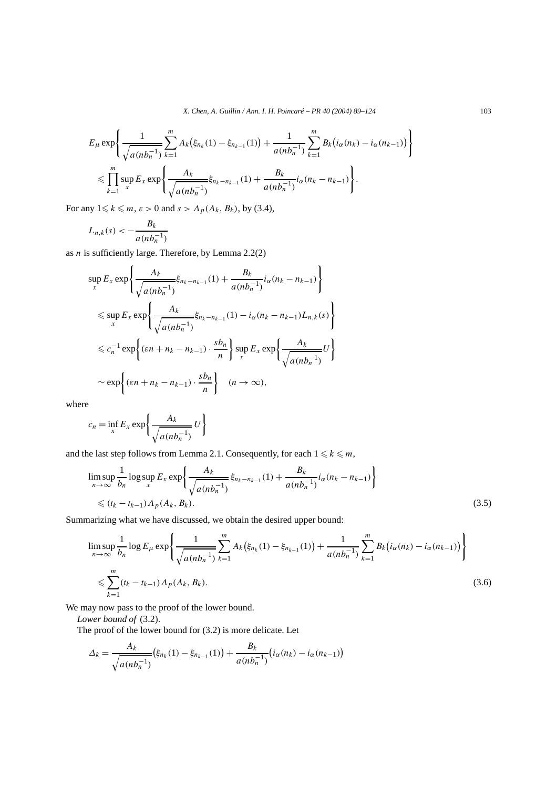$$
E_{\mu} \exp \left\{ \frac{1}{\sqrt{a(nb_n^{-1})}} \sum_{k=1}^{m} A_k (\xi_{n_k}(1) - \xi_{n_{k-1}}(1)) + \frac{1}{a(nb_n^{-1})} \sum_{k=1}^{m} B_k (i_\alpha(n_k) - i_\alpha(n_{k-1})) \right\}
$$
  

$$
\leqslant \prod_{k=1}^{m} \sup_{x} E_x \exp \left\{ \frac{A_k}{\sqrt{a(nb_n^{-1})}} \xi_{n_k - n_{k-1}}(1) + \frac{B_k}{a(nb_n^{-1})} i_\alpha(n_k - n_{k-1}) \right\}.
$$

For any  $1 \leq k \leq m$ ,  $\varepsilon > 0$  and  $s > A_p(A_k, B_k)$ , by (3.4),

$$
L_{n,k}(s) < -\frac{B_k}{a(nb_n^{-1})}
$$

as *n* is sufficiently large. Therefore, by Lemma 2.2(2)

$$
\sup_{x} E_{x} \exp \left\{ \frac{A_{k}}{\sqrt{a(nb_{n}^{-1})}} \xi_{n_{k} - n_{k-1}}(1) + \frac{B_{k}}{a(nb_{n}^{-1})} i_{\alpha}(n_{k} - n_{k-1}) \right\}
$$
  

$$
\leq \sup_{x} E_{x} \exp \left\{ \frac{A_{k}}{\sqrt{a(nb_{n}^{-1})}} \xi_{n_{k} - n_{k-1}}(1) - i_{\alpha}(n_{k} - n_{k-1}) L_{n,k}(s) \right\}
$$
  

$$
\leq c_{n}^{-1} \exp \left\{ (\varepsilon n + n_{k} - n_{k-1}) \cdot \frac{s b_{n}}{n} \right\} \sup_{x} E_{x} \exp \left\{ \frac{A_{k}}{\sqrt{a(nb_{n}^{-1})}} U \right\}
$$
  

$$
\sim \exp \left\{ (\varepsilon n + n_{k} - n_{k-1}) \cdot \frac{s b_{n}}{n} \right\} \quad (n \to \infty),
$$

where

$$
c_n = \inf_x E_x \exp\left\{\frac{A_k}{\sqrt{a(n b_n^{-1})}} U\right\}
$$

and the last step follows from Lemma 2.1. Consequently, for each  $1 \leq k \leq m$ ,

$$
\limsup_{n \to \infty} \frac{1}{b_n} \log \sup_x E_x \exp \left\{ \frac{A_k}{\sqrt{a(nb_n^{-1})}} \xi_{n_k - n_{k-1}}(1) + \frac{B_k}{a(nb_n^{-1})} i_\alpha (n_k - n_{k-1}) \right\}
$$
\n
$$
\leq (t_k - t_{k-1}) A_p(A_k, B_k).
$$
\n(3.5)

Summarizing what we have discussed, we obtain the desired upper bound:

$$
\limsup_{n \to \infty} \frac{1}{b_n} \log E_{\mu} \exp \left\{ \frac{1}{\sqrt{a(nb_n^{-1})}} \sum_{k=1}^m A_k(\xi_{n_k}(1) - \xi_{n_{k-1}}(1)) + \frac{1}{a(nb_n^{-1})} \sum_{k=1}^m B_k(i_a(n_k) - i_a(n_{k-1})) \right\}
$$
\n
$$
\leq \sum_{k=1}^m (t_k - t_{k-1}) \Lambda_p(A_k, B_k).
$$
\n(3.6)

We may now pass to the proof of the lower bound.

*Lower bound of* (3.2).

The proof of the lower bound for (3.2) is more delicate. Let

$$
\Delta_k = \frac{A_k}{\sqrt{a(nb_n^{-1})}} (\xi_{n_k}(1) - \xi_{n_{k-1}}(1)) + \frac{B_k}{a(nb_n^{-1})} (i_\alpha(n_k) - i_\alpha(n_{k-1}))
$$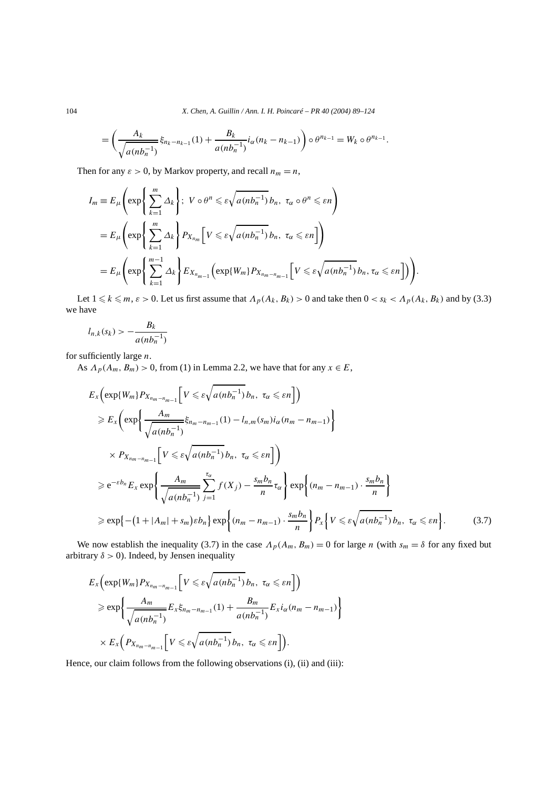104 *X. Chen, A. Guillin / Ann. I. H. Poincaré – PR 40 (2004) 89–124*

$$
= \left( \frac{A_k}{\sqrt{a(nh_n^{-1})}} \xi_{n_k - n_{k-1}}(1) + \frac{B_k}{a(nh_n^{-1})} i_\alpha(n_k - n_{k-1}) \right) \circ \theta^{n_{k-1}} = W_k \circ \theta^{n_{k-1}}.
$$

Then for any  $\varepsilon > 0$ , by Markov property, and recall  $n_m = n$ ,

$$
I_m \equiv E_{\mu}\left(\exp\left\{\sum_{k=1}^m \Delta_k\right\};\ V \circ \theta^n \leqslant \varepsilon \sqrt{a(nb_n^{-1})} b_n,\ \tau_{\alpha} \circ \theta^n \leqslant \varepsilon n\right)
$$
  
= 
$$
E_{\mu}\left(\exp\left\{\sum_{k=1}^m \Delta_k\right\} P_{X_{n_m}}\left[V \leqslant \varepsilon \sqrt{a(nb_n^{-1})} b_n,\ \tau_{\alpha} \leqslant \varepsilon n\right]\right)
$$
  
= 
$$
E_{\mu}\left(\exp\left\{\sum_{k=1}^{m-1} \Delta_k\right\} E_{X_{n_{m-1}}} \left(\exp\{W_m\} P_{X_{n_m-n_{m-1}}} \left[V \leqslant \varepsilon \sqrt{a(nb_n^{-1})} b_n, \tau_{\alpha} \leqslant \varepsilon n\right]\right)\right).
$$

Let  $1 \leq k \leq m$ ,  $\varepsilon > 0$ . Let us first assume that  $\Lambda_p(A_k, B_k) > 0$  and take then  $0 < s_k < \Lambda_p(A_k, B_k)$  and by (3.3) we have

$$
l_{n,k}(s_k) > -\frac{B_k}{a(nb_n^{-1})}
$$

for sufficiently large *n*.

As  $\Lambda_p(A_m, B_m) > 0$ , from (1) in Lemma 2.2, we have that for any  $x \in E$ ,

$$
E_{x}\left(\exp\{W_{m}\}P_{X_{n_{m}-n_{m-1}}}\left[V \leq \varepsilon\sqrt{a(n b_{n}^{-1})}b_{n}, \tau_{\alpha} \leq \varepsilon n\right]\right)
$$
  
\n
$$
\geq E_{x}\left(\exp\left\{\frac{A_{m}}{\sqrt{a(n b_{n}^{-1})}}\xi_{n_{m}-n_{m-1}}(1) - l_{n,m}(\varepsilon_{m})i_{\alpha}(n_{m}-n_{m-1})\right\}
$$
  
\n
$$
\times P_{X_{n_{m}-n_{m-1}}}\left[V \leq \varepsilon\sqrt{a(n b_{n}^{-1})}b_{n}, \tau_{\alpha} \leq \varepsilon n\right]\right)
$$
  
\n
$$
\geq e^{-\varepsilon b_{n}}E_{x}\exp\left\{\frac{A_{m}}{\sqrt{a(n b_{n}^{-1})}}\sum_{j=1}^{\tau_{\alpha}}f(X_{j}) - \frac{\varepsilon_{m}b_{n}}{n}\tau_{\alpha}\right\}\exp\left\{(n_{m}-n_{m-1})\cdot\frac{\varepsilon_{m}b_{n}}{n}\right\}
$$
  
\n
$$
\geq \exp\left\{-(1+|A_{m}|+s_{m})\varepsilon b_{n}\right\}\exp\left\{(n_{m}-n_{m-1})\cdot\frac{\varepsilon_{m}b_{n}}{n}\right\}P_{x}\left\{V \leq \varepsilon\sqrt{a(n b_{n}^{-1})}b_{n}, \tau_{\alpha} \leq \varepsilon n\right\}.
$$
 (3.7)

We now establish the inequality (3.7) in the case  $\Lambda_p(A_m, B_m) = 0$  for large *n* (with  $s_m = \delta$  for any fixed but arbitrary  $\delta > 0$ ). Indeed, by Jensen inequality

$$
E_{x}\left(\exp\{W_{m}\}P_{X_{n_{m}-n_{m-1}}}\left[V \leq \varepsilon\sqrt{a(nb_{n}^{-1})}b_{n}, \tau_{\alpha} \leq \varepsilon n\right]\right)
$$
  
\n
$$
\geq \exp\left\{\frac{A_{m}}{\sqrt{a(nb_{n}^{-1})}}E_{x}\xi_{n_{m}-n_{m-1}}(1) + \frac{B_{m}}{a(nb_{n}^{-1})}E_{x}i_{\alpha}(n_{m}-n_{m-1})\right\}
$$
  
\n
$$
\times E_{x}\left(P_{X_{n_{m}-n_{m-1}}}\left[V \leq \varepsilon\sqrt{a(nb_{n}^{-1})}b_{n}, \tau_{\alpha} \leq \varepsilon n\right]\right).
$$

Hence, our claim follows from the following observations (i), (ii) and (iii):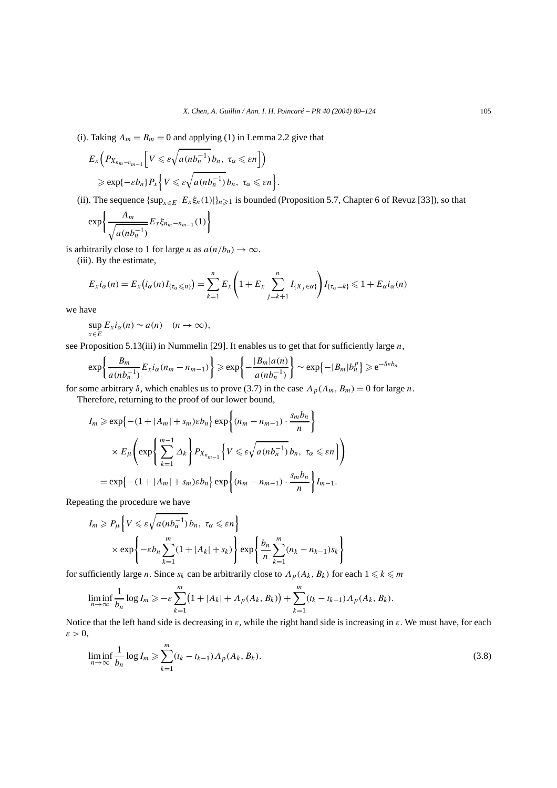(i). Taking  $A_m = B_m = 0$  and applying (1) in Lemma 2.2 give that

$$
E_{x}\left(P_{X_{n_{m}-n_{m-1}}}\left[V \leqslant \varepsilon\sqrt{a(n b_{n}^{-1})}\,b_{n},\ \tau_{\alpha} \leqslant \varepsilon n\right]\right) \\
\geqslant \exp\{-\varepsilon b_{n}\}P_{x}\left\{V \leqslant \varepsilon\sqrt{a(n b_{n}^{-1})}\,b_{n},\ \tau_{\alpha} \leqslant \varepsilon n\right\}.
$$

(ii). The sequence  $\{\sup_{x \in E} |E_x \xi_n(1)|\}_{n \geq 1}$  is bounded (Proposition 5.7, Chapter 6 of Revuz [33]), so that

$$
\exp\left\{\frac{A_m}{\sqrt{a(n b_n^{-1})}}E_x\xi_{n_m-n_{m-1}}(1)\right\}
$$

is arbitrarily close to 1 for large *n* as  $a(n/b_n) \to \infty$ .

(iii). By the estimate,

$$
E_x i_\alpha(n) = E_x (i_\alpha(n) I_{\{\tau_\alpha \leq n\}}) = \sum_{k=1}^n E_x \left(1 + E_x \sum_{j=k+1}^n I_{\{X_j \in \alpha\}}\right) I_{\{\tau_\alpha = k\}} \leq 1 + E_\alpha i_\alpha(n)
$$

we have

$$
\sup_{x\in E} E_x i_\alpha(n) \sim a(n) \quad (n\to\infty),
$$

see Proposition 5.13(iii) in Nummelin [29]. It enables us to get that for sufficiently large *n*,

$$
\exp\left\{\frac{B_m}{a(nb_n^{-1})}E_x i_\alpha(n_m - n_{m-1})\right\} \geqslant \exp\left\{-\frac{|B_m|a(n)}{a(nb_n^{-1})}\right\} \sim \exp\{-|B_m|b_n^p\} \geqslant e^{-\delta \varepsilon b_n}
$$

for some arbitrary  $\delta$ , which enables us to prove (3.7) in the case  $\Lambda_p(A_m, B_m) = 0$  for large *n*.

Therefore, returning to the proof of our lower bound,

$$
I_m \ge \exp\left\{-(1+|A_m|+s_m)\varepsilon b_n\right\} \exp\left\{(n_m-n_{m-1})\cdot \frac{s_m b_n}{n}\right\}
$$
  

$$
\times E_{\mu}\left(\exp\left\{\sum_{k=1}^{m-1} \Delta_k\right\} P_{X_{n_{m-1}}}\left\{V \le \varepsilon \sqrt{a(n b_n^{-1})} b_n, \tau_\alpha \le \varepsilon n\right\}\right)
$$
  

$$
= \exp\left\{-(1+|A_m|+s_m)\varepsilon b_n\right\} \exp\left\{(n_m-n_{m-1})\cdot \frac{s_m b_n}{n}\right\} I_{m-1}.
$$

Repeating the procedure we have

$$
I_m \ge P_{\mu} \left\{ V \le \varepsilon \sqrt{a(nb_n^{-1})} b_n, \ \tau_{\alpha} \le \varepsilon n \right\}
$$
  
 
$$
\times \exp \left\{ -\varepsilon b_n \sum_{k=1}^m (1 + |A_k| + s_k) \right\} \exp \left\{ \frac{b_n}{n} \sum_{k=1}^m (n_k - n_{k-1}) s_k \right\}
$$

for sufficiently large *n*. Since  $s_k$  can be arbitrarily close to  $\Lambda_p(A_k, B_k)$  for each  $1 \leq k \leq m$ 

$$
\liminf_{n \to \infty} \frac{1}{b_n} \log I_m \ge -\varepsilon \sum_{k=1}^m (1 + |A_k| + \Lambda_p(A_k, B_k)) + \sum_{k=1}^m (t_k - t_{k-1}) \Lambda_p(A_k, B_k).
$$

Notice that the left hand side is decreasing in  $\varepsilon$ , while the right hand side is increasing in  $\varepsilon$ . We must have, for each *ε >* 0,

$$
\liminf_{n \to \infty} \frac{1}{b_n} \log I_m \ge \sum_{k=1}^m (t_k - t_{k-1}) \Lambda_p(A_k, B_k).
$$
\n(3.8)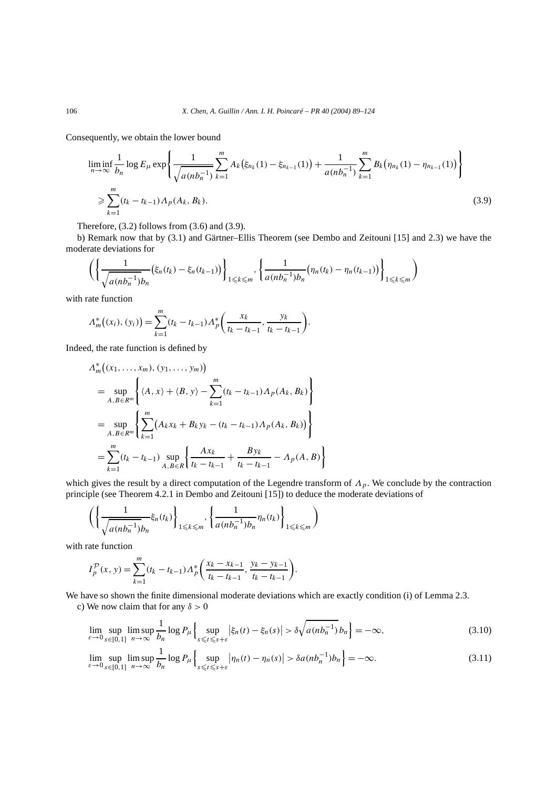Consequently, we obtain the lower bound

$$
\liminf_{n \to \infty} \frac{1}{b_n} \log E_{\mu} \exp \left\{ \frac{1}{\sqrt{a(n b_n^{-1})}} \sum_{k=1}^m A_k(\xi_{n_k}(1) - \xi_{n_{k-1}}(1)) + \frac{1}{a(n b_n^{-1})} \sum_{k=1}^m B_k(\eta_{n_k}(1) - \eta_{n_{k-1}}(1)) \right\}
$$
\n
$$
\geq \sum_{k=1}^m (t_k - t_{k-1}) \Lambda_p(A_k, B_k).
$$
\n(3.9)

Therefore, (3.2) follows from (3.6) and (3.9).

b) Remark now that by (3.1) and Gärtner–Ellis Theorem (see Dembo and Zeitouni [15] and 2.3) we have the moderate deviations for

$$
\left( \left\{ \frac{1}{\sqrt{a(nb_n^{-1})} b_n} (\xi_n(t_k) - \xi_n(t_{k-1})) \right\}_{1 \leq k \leq m}, \left\{ \frac{1}{a(nb_n^{-1}) b_n} (\eta_n(t_k) - \eta_n(t_{k-1})) \right\}_{1 \leq k \leq m} \right)
$$

with rate function

$$
\Lambda_m^*\big((x_i),(y_i)\big) = \sum_{k=1}^m (t_k - t_{k-1}) \Lambda_p^*\bigg(\frac{x_k}{t_k - t_{k-1}}, \frac{y_k}{t_k - t_{k-1}}\bigg).
$$

Indeed, the rate function is defined by

$$
\Lambda_m^*((x_1, \ldots, x_m), (y_1, \ldots, y_m))
$$
\n
$$
= \sup_{A, B \in R^m} \left\{ \langle A, x \rangle + \langle B, y \rangle - \sum_{k=1}^m (t_k - t_{k-1}) \Lambda_p(A_k, B_k) \right\}
$$
\n
$$
= \sup_{A, B \in R^m} \left\{ \sum_{k=1}^m (A_k x_k + B_k y_k - (t_k - t_{k-1}) \Lambda_p(A_k, B_k)) \right\}
$$
\n
$$
= \sum_{k=1}^m (t_k - t_{k-1}) \sup_{A, B \in R} \left\{ \frac{Ax_k}{t_k - t_{k-1}} + \frac{By_k}{t_k - t_{k-1}} - \Lambda_p(A, B) \right\}
$$

which gives the result by a direct computation of the Legendre transform of *Λp*. We conclude by the contraction principle (see Theorem 4.2.1 in Dembo and Zeitouni [15]) to deduce the moderate deviations of

$$
\left(\left\{\frac{1}{\sqrt{a(nb_n^{-1})}b_n}\xi_n(t_k)\right\}_{1\leqslant k\leqslant m},\left\{\frac{1}{a(nb_n^{-1})b_n}\eta_n(t_k)\right\}_{1\leqslant k\leqslant m}\right)
$$

with rate function

$$
I_p^{\mathcal{P}}(x, y) = \sum_{k=1}^m (t_k - t_{k-1}) \Lambda_p^* \left( \frac{x_k - x_{k-1}}{t_k - t_{k-1}}, \frac{y_k - y_{k-1}}{t_k - t_{k-1}} \right).
$$

We have so shown the finite dimensional moderate deviations which are exactly condition (i) of Lemma 2.3. c) We now claim that for any *δ >* 0

$$
\lim_{\varepsilon \to 0} \sup_{s \in [0,1]} \limsup_{n \to \infty} \frac{1}{b_n} \log P_\mu \left\{ \sup_{s \le t \le s + \varepsilon} \left| \xi_n(t) - \xi_n(s) \right| > \delta \sqrt{a(nb_n^{-1})} b_n \right\} = -\infty, \tag{3.10}
$$

$$
\lim_{\varepsilon \to 0} \sup_{s \in [0,1]} \limsup_{n \to \infty} \frac{1}{b_n} \log P_{\mu} \left\{ \sup_{s \le t \le s + \varepsilon} |\eta_n(t) - \eta_n(s)| > \delta a (nb_n^{-1}) b_n \right\} = -\infty. \tag{3.11}
$$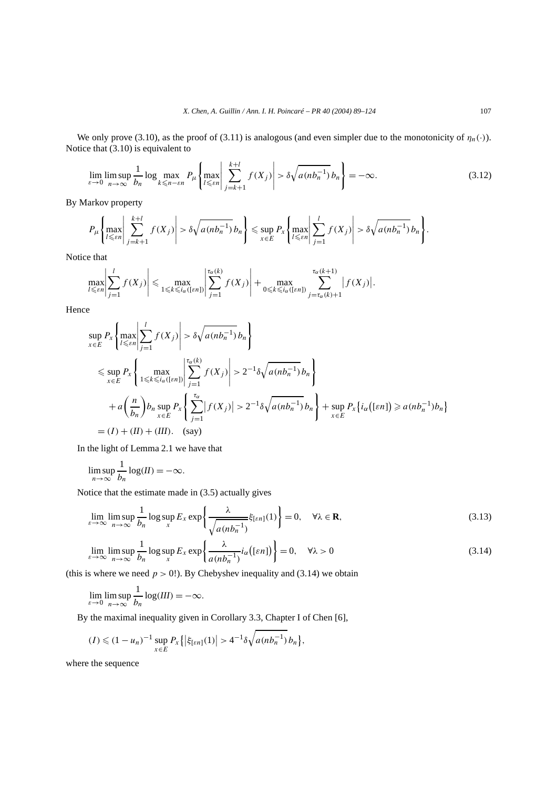We only prove (3.10), as the proof of (3.11) is analogous (and even simpler due to the monotonicity of  $\eta_n(\cdot)$ ). Notice that (3.10) is equivalent to

$$
\lim_{\varepsilon \to 0} \limsup_{n \to \infty} \frac{1}{b_n} \log \max_{k \le n - \varepsilon n} P_{\mu} \left\{ \max_{l \le \varepsilon n} \left| \sum_{j=k+1}^{k+l} f(X_j) \right| > \delta \sqrt{a(n b_n^{-1})} b_n \right\} = -\infty. \tag{3.12}
$$

By Markov property

$$
P_{\mu}\left\{\max_{l\leq \varepsilon n}\left|\sum_{j=k+1}^{k+l}f(X_j)\right|>\delta\sqrt{a(nb_n^{-1})}\,b_n\right\}\leq \sup_{x\in E}P_x\left\{\max_{l\leq \varepsilon n}\left|\sum_{j=1}^{l}f(X_j)\right|>\delta\sqrt{a(nb_n^{-1})}\,b_n\right\}.
$$

Notice that

$$
\max_{l\leqslant \varepsilon n}\left|\sum_{j=1}^l f(X_j)\right|\leqslant \max_{1\leqslant k\leqslant i_\alpha([\varepsilon n])}\left|\sum_{j=1}^{\tau_\alpha(k)} f(X_j)\right|+\max_{0\leqslant k\leqslant i_\alpha([\varepsilon n])}\sum_{j=\tau_\alpha(k)+1}^{\tau_\alpha(k+1)}|f(X_j)|.
$$

Hence

$$
\sup_{x \in E} P_x \left\{ \max_{l \le \varepsilon n} \left| \sum_{j=1}^l f(X_j) \right| > \delta \sqrt{a(nb_n^{-1})} b_n \right\}
$$
  
\n
$$
\le \sup_{x \in E} P_x \left\{ \max_{1 \le k \le i_\alpha(\lceil \varepsilon n \rceil)} \left| \sum_{j=1}^{\tau_\alpha(k)} f(X_j) \right| > 2^{-1} \delta \sqrt{a(nb_n^{-1})} b_n \right\}
$$
  
\n
$$
+ a \left( \frac{n}{b_n} \right) b_n \sup_{x \in E} P_x \left\{ \sum_{j=1}^{\tau_\alpha} |f(X_j)| > 2^{-1} \delta \sqrt{a(nb_n^{-1})} b_n \right\} + \sup_{x \in E} P_x \left\{ i_\alpha([\varepsilon n]) \ge a(nb_n^{-1}) b_n \right\}
$$
  
\n
$$
= (I) + (II) + (III). \quad \text{(say)}
$$

In the light of Lemma 2.1 we have that

$$
\limsup_{n\to\infty}\frac{1}{b_n}\log(II)=-\infty.
$$

Notice that the estimate made in (3.5) actually gives

$$
\lim_{\varepsilon \to \infty} \limsup_{n \to \infty} \frac{1}{b_n} \log \sup_{x} E_x \exp \left\{ \frac{\lambda}{\sqrt{a(n b_n^{-1})}} \xi_{\lbrack \varepsilon n \rbrack}(1) \right\} = 0, \quad \forall \lambda \in \mathbf{R}, \tag{3.13}
$$

$$
\lim_{\varepsilon \to \infty} \limsup_{n \to \infty} \frac{1}{b_n} \log \sup_{x} E_x \exp \left\{ \frac{\lambda}{a(n b_n^{-1})} i_\alpha \left( [\varepsilon n] \right) \right\} = 0, \quad \forall \lambda > 0 \tag{3.14}
$$

(this is where we need  $p > 0$ !). By Chebyshev inequality and (3.14) we obtain

$$
\lim_{\varepsilon \to 0} \limsup_{n \to \infty} \frac{1}{b_n} \log(III) = -\infty.
$$

By the maximal inequality given in Corollary 3.3, Chapter I of Chen [6],

$$
(I) \leq (1 - u_n)^{-1} \sup_{x \in E} P_x \{ \left| \xi_{[\varepsilon n]}(1) \right| > 4^{-1} \delta \sqrt{a (n b_n^{-1})} b_n \},
$$

where the sequence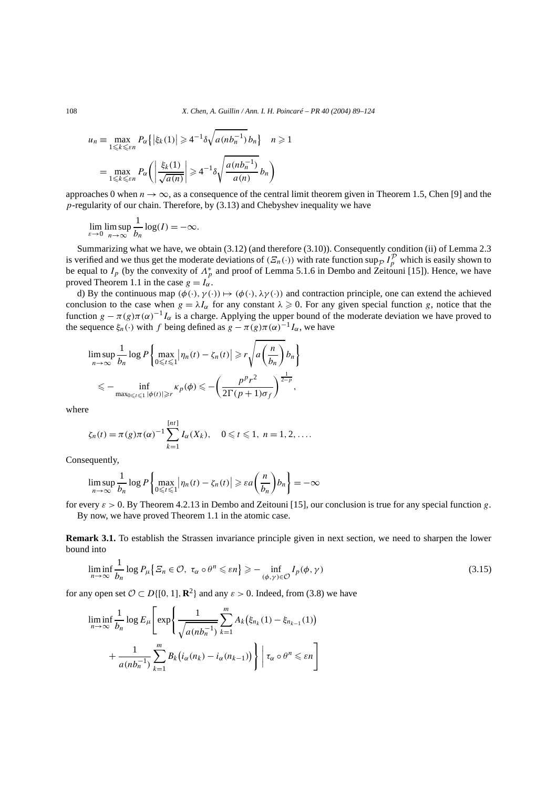$$
u_n \equiv \max_{1 \le k \le \varepsilon n} P_\alpha \{ |\xi_k(1)| \ge 4^{-1} \delta \sqrt{a(nb_n^{-1})} b_n \} \quad n \ge 1
$$

$$
= \max_{1 \le k \le \varepsilon n} P_\alpha \left( \left| \frac{\xi_k(1)}{\sqrt{a(n)}} \right| \ge 4^{-1} \delta \sqrt{\frac{a(nb_n^{-1})}{a(n)}} b_n \right)
$$

approaches 0 when  $n \to \infty$ , as a consequence of the central limit theorem given in Theorem 1.5, Chen [9] and the *p*-regularity of our chain. Therefore, by (3.13) and Chebyshev inequality we have

$$
\lim_{\varepsilon \to 0} \limsup_{n \to \infty} \frac{1}{b_n} \log(I) = -\infty.
$$

Summarizing what we have, we obtain (3.12) (and therefore (3.10)). Consequently condition (ii) of Lemma 2.3 is verified and we thus get the moderate deviations of  $(E_n(\cdot))$  with rate function sup<sub>p</sub>  $I_p^{\mathcal{P}}$  which is easily shown to be equal to  $I_p$  (by the convexity of  $\Lambda_p^*$  and proof of Lemma 5.1.6 in Dembo and Zeitouni [15]). Hence, we have proved Theorem 1.1 in the case  $g = I_\alpha$ .

d) By the continuous map  $(\phi(\cdot), \gamma(\cdot)) \mapsto (\phi(\cdot), \lambda \gamma(\cdot))$  and contraction principle, one can extend the achieved conclusion to the case when  $g = \lambda I_\alpha$  for any constant  $\lambda \ge 0$ . For any given special function *g*, notice that the function  $g - \pi(g)\pi(\alpha)^{-1}I_{\alpha}$  is a charge. Applying the upper bound of the moderate deviation we have proved to the sequence  $\xi_n(\cdot)$  with *f* being defined as  $g - \pi(g)\pi(\alpha)^{-1}I_\alpha$ , we have

$$
\limsup_{n \to \infty} \frac{1}{b_n} \log P \left\{ \max_{0 \le t \le 1} |\eta_n(t) - \zeta_n(t)| \ge r \sqrt{a \left( \frac{n}{b_n} \right)} b_n \right\}
$$
  

$$
\le - \inf_{\max_{0 \le t \le 1} |\phi(t)| \ge r} \kappa_p(\phi) \le - \left( \frac{p^p r^2}{2 \Gamma(p+1) \sigma_f} \right)^{\frac{1}{2-p}},
$$

where

$$
\zeta_n(t) = \pi(g)\pi(\alpha)^{-1} \sum_{k=1}^{[nt]} I_{\alpha}(X_k), \quad 0 \leq t \leq 1, n = 1, 2, ....
$$

Consequently,

$$
\limsup_{n \to \infty} \frac{1}{b_n} \log P \left\{ \max_{0 \le t \le 1} \left| \eta_n(t) - \zeta_n(t) \right| \ge \varepsilon a \left( \frac{n}{b_n} \right) b_n \right\} = -\infty
$$

for every  $\varepsilon > 0$ . By Theorem 4.2.13 in Dembo and Zeitouni [15], our conclusion is true for any special function g. By now, we have proved Theorem 1.1 in the atomic case.

**Remark 3.1.** To establish the Strassen invariance principle given in next section, we need to sharpen the lower bound into

$$
\liminf_{n \to \infty} \frac{1}{b_n} \log P_{\mu} \{ \varXi_n \in \mathcal{O}, \ \tau_\alpha \circ \theta^n \leqslant \varepsilon n \} \geqslant - \inf_{(\phi, \gamma) \in \mathcal{O}} I_p(\phi, \gamma) \tag{3.15}
$$

for any open set  $\mathcal{O} \subset D\{[0, 1], \mathbb{R}^2\}$  and any  $\varepsilon > 0$ . Indeed, from (3.8) we have

$$
\liminf_{n \to \infty} \frac{1}{b_n} \log E_{\mu} \left[ \exp \left\{ \frac{1}{\sqrt{a(nb_n^{-1})}} \sum_{k=1}^m A_k \left( \xi_{n_k}(1) - \xi_{n_{k-1}}(1) \right) + \frac{1}{a(nb_n^{-1})} \sum_{k=1}^m B_k \left( i_\alpha(n_k) - i_\alpha(n_{k-1}) \right) \right\} \middle| \tau_\alpha \circ \theta^n \leq \varepsilon n \right]
$$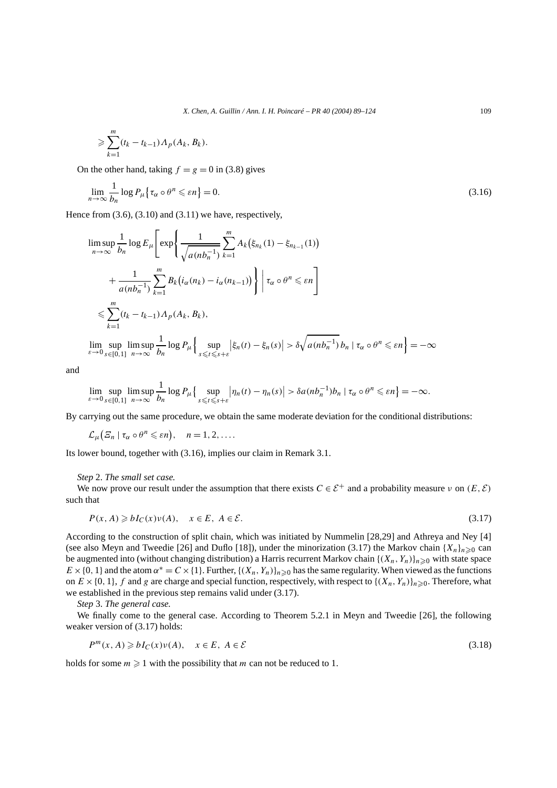$$
\geqslant \sum_{k=1}^m (t_k-t_{k-1})\Lambda_p(A_k,B_k).
$$

On the other hand, taking  $f = g = 0$  in (3.8) gives

$$
\lim_{n \to \infty} \frac{1}{b_n} \log P_{\mu} \{ \tau_\alpha \circ \theta^n \leqslant \varepsilon n \} = 0. \tag{3.16}
$$

Hence from (3.6), (3.10) and (3.11) we have, respectively,

$$
\limsup_{n \to \infty} \frac{1}{b_n} \log E_{\mu} \left[ \exp \left\{ \frac{1}{\sqrt{a(nb_n^{-1})}} \sum_{k=1}^m A_k \left( \xi_{n_k}(1) - \xi_{n_{k-1}}(1) \right) \right. \right.\left. + \frac{1}{a(nb_n^{-1})} \sum_{k=1}^m B_k \left( i_\alpha(n_k) - i_\alpha(n_{k-1}) \right) \right\} \left| \tau_\alpha \circ \theta^n \leq \varepsilon n \right] \leq \sum_{k=1}^m (t_k - t_{k-1}) \Lambda_p(A_k, B_k),\n\lim_{\varepsilon \to 0} \sup_{s \in [0,1]} \limsup_{n \to \infty} \frac{1}{b_n} \log P_{\mu} \left\{ \sup_{s \leq t \leq s+\varepsilon} \left| \xi_n(t) - \xi_n(s) \right| > \delta \sqrt{a(nb_n^{-1})} b_n \left| \tau_\alpha \circ \theta^n \leq \varepsilon n \right. \right\} = -\infty
$$

and

$$
\lim_{\varepsilon \to 0} \sup_{s \in [0,1]} \limsup_{n \to \infty} \frac{1}{b_n} \log P_\mu \Big\{ \sup_{s \leq t \leq s + \varepsilon} \big| \eta_n(t) - \eta_n(s) \big| > \delta a (nb_n^{-1}) b_n \mid \tau_\alpha \circ \theta^n \leq \varepsilon n \Big\} = -\infty.
$$

By carrying out the same procedure, we obtain the same moderate deviation for the conditional distributions:

$$
\mathcal{L}_{\mu}\big(\varXi_n\mid \tau_{\alpha}\circ\theta^n\leqslant \varepsilon n\big),\quad n=1,2,\ldots.
$$

Its lower bound, together with (3.16), implies our claim in Remark 3.1.

*s*-*t*-*s*+*ε*

#### *Step* 2. *The small set case.*

We now prove our result under the assumption that there exists  $C \in \mathcal{E}^+$  and a probability measure *v* on  $(E, \mathcal{E})$ such that

$$
P(x, A) \geq b I_C(x) \nu(A), \quad x \in E, \ A \in \mathcal{E}.
$$
\n
$$
(3.17)
$$

According to the construction of split chain, which was initiated by Nummelin [28,29] and Athreya and Ney [4] (see also Meyn and Tweedie [26] and Duflo [18]), under the minorization (3.17) the Markov chain  ${X_n}_{n\geq 0}$  can be augmented into (without changing distribution) a Harris recurrent Markov chain  $\{(X_n, Y_n)\}_{n>0}$  with state space  $E \times \{0, 1\}$  and the atom  $\alpha^* = C \times \{1\}$ . Further,  $\{(X_n, Y_n)\}_{n \geq 0}$  has the same regularity. When viewed as the functions on  $E \times \{0, 1\}$ ,  $f$  and  $g$  are charge and special function, respectively, with respect to  $\{(X_n, Y_n)\}_{n \geq 0}$ . Therefore, what we established in the previous step remains valid under (3.17).

*Step* 3*. The general case.*

We finally come to the general case. According to Theorem 5.2.1 in Meyn and Tweedie [26], the following weaker version of (3.17) holds:

$$
P^{m}(x, A) \geq bI_{C}(x)v(A), \quad x \in E, \ A \in \mathcal{E}
$$
\n
$$
(3.18)
$$

holds for some  $m \geq 1$  with the possibility that *m* can not be reduced to 1.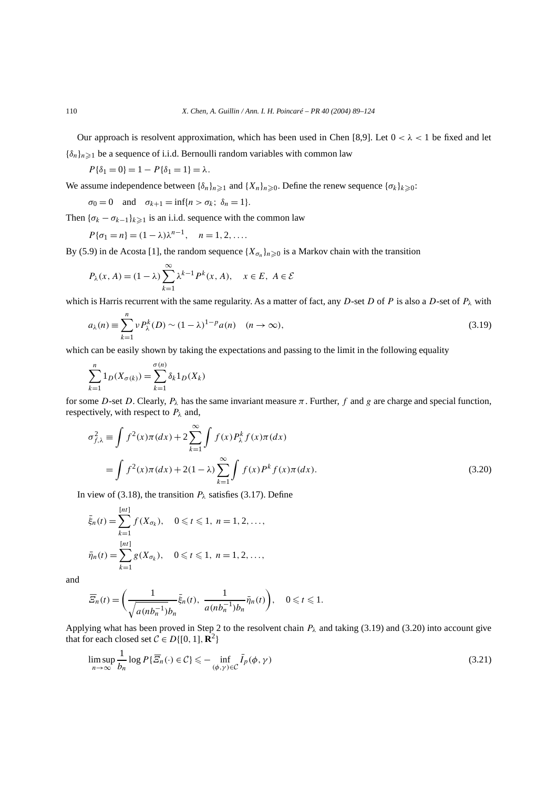Our approach is resolvent approximation, which has been used in Chen [8,9]. Let  $0 < \lambda < 1$  be fixed and let  ${\delta_n}_{n\geq 1}$  be a sequence of i.i.d. Bernoulli random variables with common law

 $P{\delta_1 = 0} = 1 - P{\delta_1 = 1} = \lambda.$ 

We assume independence between  $\{\delta_n\}_{n\geq 1}$  and  $\{X_n\}_{n\geq 0}$ . Define the renew sequence  $\{\sigma_k\}_{k\geq 0}$ :

$$
\sigma_0 = 0 \quad \text{and} \quad \sigma_{k+1} = \inf\{n > \sigma_k; \ \delta_n = 1\}.
$$

Then  ${\{\sigma_k - \sigma_{k-1}\}_{k \geq 1}}$  is an i.i.d. sequence with the common law

$$
P\{\sigma_1 = n\} = (1 - \lambda)\lambda^{n-1}, \quad n = 1, 2, ....
$$

By (5.9) in de Acosta [1], the random sequence  $\{X_{\sigma_n}\}_{n\geq 0}$  is a Markov chain with the transition

$$
P_{\lambda}(x, A) = (1 - \lambda) \sum_{k=1}^{\infty} \lambda^{k-1} P^{k}(x, A), \quad x \in E, A \in \mathcal{E}
$$

which is Harris recurrent with the same regularity. As a matter of fact, any *D*-set *D* of *P* is also a *D*-set of *Pλ* with

$$
a_{\lambda}(n) \equiv \sum_{k=1}^{n} \nu P_{\lambda}^{k}(D) \sim (1 - \lambda)^{1 - p} a(n) \quad (n \to \infty),
$$
\n(3.19)

which can be easily shown by taking the expectations and passing to the limit in the following equality

$$
\sum_{k=1}^{n} 1_D(X_{\sigma(k)}) = \sum_{k=1}^{\sigma(n)} \delta_k 1_D(X_k)
$$

for some *D*-set *D*. Clearly,  $P_\lambda$  has the same invariant measure  $\pi$ . Further, f and g are charge and special function, respectively, with respect to *Pλ* and,

$$
\sigma_{f,\lambda}^2 \equiv \int f^2(x)\pi(dx) + 2\sum_{k=1}^{\infty} \int f(x)P_{\lambda}^k f(x)\pi(dx) \n= \int f^2(x)\pi(dx) + 2(1-\lambda)\sum_{k=1}^{\infty} \int f(x)P^k f(x)\pi(dx).
$$
\n(3.20)

In view of (3.18), the transition  $P_\lambda$  satisfies (3.17). Define

$$
\bar{\xi}_n(t) = \sum_{k=1}^{[nt]} f(X_{\sigma_k}), \quad 0 \le t \le 1, n = 1, 2, ...,
$$
  

$$
\bar{\eta}_n(t) = \sum_{k=1}^{[nt]} g(X_{\sigma_k}), \quad 0 \le t \le 1, n = 1, 2, ...,
$$

and

$$
\overline{E}_n(t) = \left(\frac{1}{\sqrt{a(nb_n^{-1})}b_n}\overline{\xi}_n(t), \ \frac{1}{a(nb_n^{-1})b_n}\overline{\eta}_n(t)\right), \quad 0 \leq t \leq 1.
$$

Applying what has been proved in Step 2 to the resolvent chain *Pλ* and taking (3.19) and (3.20) into account give that for each closed set  $C \in D\{[0, 1], \mathbb{R}^2\}$ 

$$
\limsup_{n \to \infty} \frac{1}{b_n} \log P\{\overline{\mathcal{E}}_n(\cdot) \in \mathcal{C}\} \leq - \inf_{(\phi, \gamma) \in \mathcal{C}} \overline{I}_p(\phi, \gamma) \tag{3.21}
$$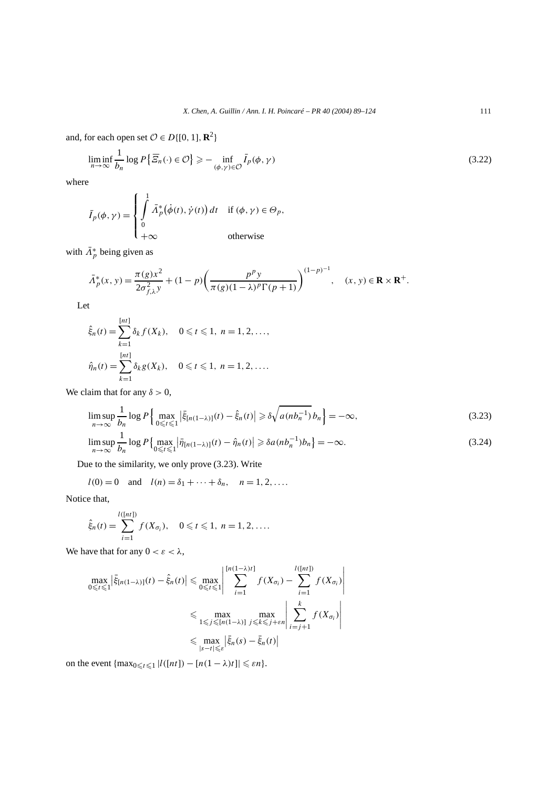and, for each open set  $\mathcal{O} \in D\{[0, 1], \mathbb{R}^2\}$ 

$$
\liminf_{n \to \infty} \frac{1}{b_n} \log P\left\{\overline{\mathcal{Z}}_n(\cdot) \in \mathcal{O}\right\} \ge - \inf_{(\phi, \gamma) \in \mathcal{O}} \overline{I}_p(\phi, \gamma) \tag{3.22}
$$

where

$$
\bar{I}_p(\phi, \gamma) = \begin{cases}\n\int_0^1 \bar{A}_p^*(\dot{\phi}(t), \dot{\gamma}(t)) dt & \text{if } (\phi, \gamma) \in \Theta_p, \\
0 & \text{otherwise}\n\end{cases}
$$

with  $\bar{\Lambda}_p^*$  being given as

$$
\bar{\Lambda}_p^*(x, y) = \frac{\pi(g)x^2}{2\sigma_{f,\lambda}^2 y} + (1 - p) \left( \frac{p^p y}{\pi(g)(1 - \lambda)^p \Gamma(p + 1)} \right)^{(1 - p)^{-1}}, \quad (x, y) \in \mathbf{R} \times \mathbf{R}^+.
$$

Let

$$
\hat{\xi}_n(t) = \sum_{k=1}^{[nt]} \delta_k f(X_k), \quad 0 \le t \le 1, \ n = 1, 2, \dots,
$$
  

$$
\hat{\eta}_n(t) = \sum_{k=1}^{[nt]} \delta_k g(X_k), \quad 0 \le t \le 1, \ n = 1, 2, \dots.
$$

We claim that for any  $\delta > 0$ ,

$$
\limsup_{n \to \infty} \frac{1}{b_n} \log P \Big\{ \max_{0 \le t \le 1} |\bar{\xi}_{[n(1-\lambda)]}(t) - \hat{\xi}_n(t)| \ge \delta \sqrt{a(nb_n^{-1})} b_n \Big\} = -\infty, \tag{3.23}
$$

$$
\limsup_{n \to \infty} \frac{1}{b_n} \log P\left\{\max_{0 \le t \le 1} |\bar{\eta}_{[n(1-\lambda)]}(t) - \hat{\eta}_n(t)| \ge \delta a (nb_n^{-1})b_n \right\} = -\infty. \tag{3.24}
$$

Due to the similarity, we only prove (3.23). Write

$$
l(0) = 0
$$
 and  $l(n) = \delta_1 + \cdots + \delta_n$ ,  $n = 1, 2, \ldots$ 

Notice that,

$$
\hat{\xi}_n(t) = \sum_{i=1}^{l([nt])} f(X_{\sigma_i}), \quad 0 \leq t \leq 1, \ n = 1, 2, ....
$$

We have that for any  $0 < \varepsilon < \lambda$ ,

$$
\max_{0 \leq t \leq 1} \left| \bar{\xi}_{[n(1-\lambda)]}(t) - \hat{\xi}_n(t) \right| \leq \max_{0 \leq t \leq 1} \left| \sum_{i=1}^{[n(1-\lambda)t]} f(X_{\sigma_i}) - \sum_{i=1}^{l([nt])} f(X_{\sigma_i}) \right|
$$
  

$$
\leq \max_{1 \leq j \leq [n(1-\lambda)]} \max_{j \leq k \leq j+\varepsilon n} \left| \sum_{i=j+1}^{k} f(X_{\sigma_i}) \right|
$$
  

$$
\leq \max_{|s-t| \leq \varepsilon} \left| \bar{\xi}_n(s) - \bar{\xi}_n(t) \right|
$$

on the event  $\{\max_{0 \le t \le 1} |l([nt]) - [n(1 - \lambda)t]| \le \varepsilon n\}.$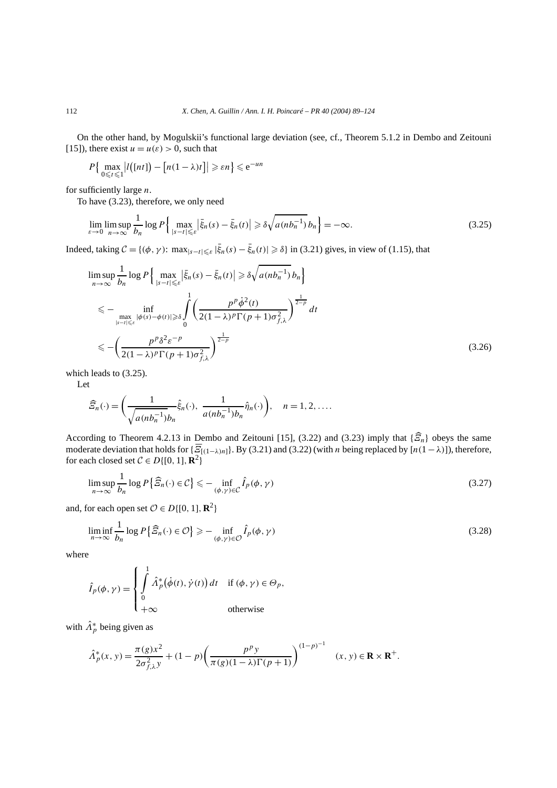On the other hand, by Mogulskii's functional large deviation (see, cf., Theorem 5.1.2 in Dembo and Zeitouni [15]), there exist  $u = u(\varepsilon) > 0$ , such that

$$
P\left\{\max_{0\leq t\leq 1}\left|l\left(\left[nt\right]\right)-\left[n(1-\lambda)t\right]\right|\geq \varepsilon n\right\}\leq e^{-un}
$$

for sufficiently large *n*.

To have (3.23), therefore, we only need

$$
\lim_{\varepsilon \to 0} \limsup_{n \to \infty} \frac{1}{b_n} \log P \left\{ \max_{|s-t| \leqslant \varepsilon} \left| \bar{\xi}_n(s) - \bar{\xi}_n(t) \right| \geqslant \delta \sqrt{a(nb_n^{-1})} b_n \right\} = -\infty. \tag{3.25}
$$

Indeed, taking  $C = \{(\phi, \gamma): \max_{|s-t| \leq \varepsilon} |\bar{\xi}_n(s) - \bar{\xi}_n(t)| \geq \delta\}$  in (3.21) gives, in view of (1.15), that

$$
\limsup_{n \to \infty} \frac{1}{b_n} \log P \Big\{ \max_{|s-t| \leq \varepsilon} |\bar{\xi}_n(s) - \bar{\xi}_n(t)| \geq \delta \sqrt{a(nb_n^{-1})} b_n \Big\}
$$
  
\n
$$
\leq - \inf_{\substack{\max_{|s-t| \leq \varepsilon} |\phi(s) - \phi(t)| \geq \delta}} \int_0^1 \left( \frac{p^p \dot{\phi}^2(t)}{2(1-\lambda)^p \Gamma(p+1) \sigma_{f,\lambda}^2} \right)^{\frac{1}{2-p}} dt
$$
  
\n
$$
\leq - \left( \frac{p^p \delta^2 \varepsilon^{-p}}{2(1-\lambda)^p \Gamma(p+1) \sigma_{f,\lambda}^2} \right)^{\frac{1}{2-p}}
$$
(3.26)

which leads to (3.25).

Let

$$
\widehat{E}_n(\cdot) = \left(\frac{1}{\sqrt{a(nb_n^{-1})b_n}}\widehat{\xi}_n(\cdot), \ \frac{1}{a(nb_n^{-1})b_n}\widehat{\eta}_n(\cdot)\right), \quad n = 1, 2, \dots
$$

According to Theorem 4.2.13 in Dembo and Zeitouni [15], (3.22) and (3.23) imply that {*Ξ*'*n*} obeys the same moderate deviation that holds for  $\{\overline{\mathcal{Z}}_{[(1-\lambda)n]}\}\)$ . By (3.21) and (3.22) (with *n* being replaced by  $[n(1-\lambda)]$ ), therefore, for each closed set  $C \in D\{[0, 1], \mathbb{R}^2\}$ 

$$
\limsup_{n \to \infty} \frac{1}{b_n} \log P\left\{\widehat{\mathcal{Z}}_n(\cdot) \in \mathcal{C}\right\} \leq -\inf_{(\phi,\gamma) \in \mathcal{C}} \widehat{I}_p(\phi,\gamma) \tag{3.27}
$$

and, for each open set  $\mathcal{O} \in D\{[0, 1], \mathbb{R}^2\}$ 

$$
\liminf_{n \to \infty} \frac{1}{b_n} \log P\left\{\widehat{\mathcal{Z}}_n(\cdot) \in \mathcal{O}\right\} \ge - \inf_{(\phi,\gamma) \in \mathcal{O}} \widehat{I}_p(\phi,\gamma) \tag{3.28}
$$

where

$$
\hat{I}_p(\phi, \gamma) = \begin{cases}\n\int_0^1 \hat{A}_p^*(\dot{\phi}(t), \dot{\gamma}(t)) dt & \text{if } (\phi, \gamma) \in \Theta_p, \\
0 & \text{otherwise}\n\end{cases}
$$

with  $\hat{\Lambda}_p^*$  being given as

$$
\hat{\Lambda}_p^*(x, y) = \frac{\pi(g)x^2}{2\sigma_{f,\lambda}^2 y} + (1 - p) \left(\frac{p^p y}{\pi(g)(1 - \lambda)\Gamma(p + 1)}\right)^{(1 - p)^{-1}} \quad (x, y) \in \mathbf{R} \times \mathbf{R}^+.
$$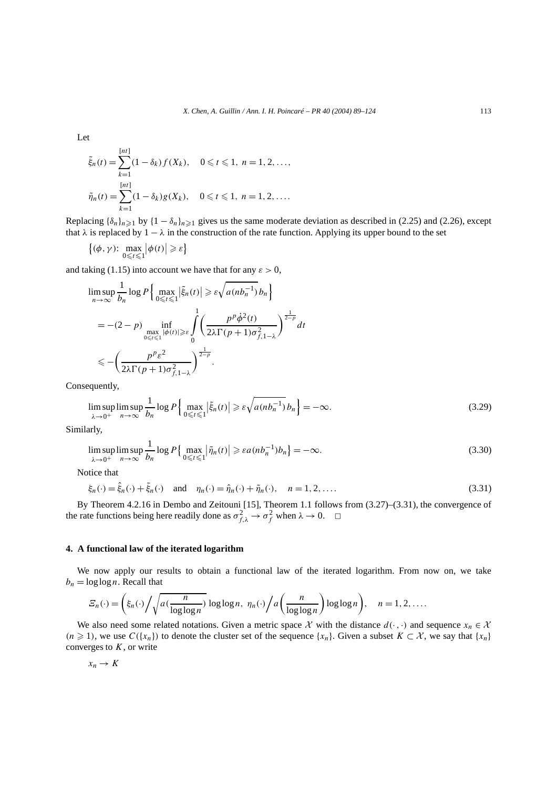Let

$$
\tilde{\xi}_n(t) = \sum_{k=1}^{[nt]} (1 - \delta_k) f(X_k), \quad 0 \le t \le 1, \ n = 1, 2, \dots,
$$
  

$$
\tilde{\eta}_n(t) = \sum_{k=1}^{[nt]} (1 - \delta_k) g(X_k), \quad 0 \le t \le 1, \ n = 1, 2, \dots.
$$

Replacing  $\{\delta_n\}_{n\geq 1}$  by  $\{1 - \delta_n\}_{n\geq 1}$  gives us the same moderate deviation as described in (2.25) and (2.26), except that  $\lambda$  is replaced by 1  $-\lambda$  in the construction of the rate function. Applying its upper bound to the set

$$
\left\{(\phi,\gamma)\colon \max_{0\leq t\leq 1}\left|\phi(t)\right|\geq \varepsilon\right\}
$$

and taking (1.15) into account we have that for any  $\varepsilon > 0$ ,

$$
\limsup_{n \to \infty} \frac{1}{b_n} \log P \Big\{ \max_{0 \le t \le 1} |\tilde{\xi}_n(t)| \ge \varepsilon \sqrt{a(nb_n^{-1})} b_n \Big\}
$$
  
= -(2-p) 
$$
\inf_{\substack{\max_{0 \le t \le 1} |\phi(t)| \ge \varepsilon \\ 0}} \int_{0}^{1} \Big( \frac{p^p \dot{\phi}^2(t)}{2\lambda \Gamma(p+1)\sigma_{f,1-\lambda}^2} \Big)^{\frac{1}{2-p}} dt
$$
  

$$
\le - \Big( \frac{p^p \varepsilon^2}{2\lambda \Gamma(p+1)\sigma_{f,1-\lambda}^2} \Big)^{\frac{1}{2-p}}.
$$

Consequently,

$$
\limsup_{\lambda \to 0^+} \limsup_{n \to \infty} \frac{1}{b_n} \log P \Big\{ \max_{0 \le t \le 1} |\tilde{\xi}_n(t)| \ge \varepsilon \sqrt{a(nb_n^{-1})} b_n \Big\} = -\infty. \tag{3.29}
$$

Similarly,

$$
\limsup_{\lambda \to 0^+} \limsup_{n \to \infty} \frac{1}{b_n} \log P\left\{\max_{0 \le t \le 1} |\tilde{\eta}_n(t)| \ge \varepsilon a (nb_n^{-1}) b_n \right\} = -\infty. \tag{3.30}
$$

Notice that

$$
\xi_n(\cdot) = \hat{\xi}_n(\cdot) + \tilde{\xi}_n(\cdot) \quad \text{and} \quad \eta_n(\cdot) = \hat{\eta}_n(\cdot) + \tilde{\eta}_n(\cdot), \quad n = 1, 2, \dots
$$
\n(3.31)

By Theorem 4.2.16 in Dembo and Zeitouni [15], Theorem 1.1 follows from (3.27)–(3.31), the convergence of the rate functions being here readily done as  $\sigma_{f,\lambda}^2 \to \sigma_f^2$  when  $\lambda \to 0$ .  $\Box$ 

# **4. A functional law of the iterated logarithm**

We now apply our results to obtain a functional law of the iterated logarithm. From now on, we take  $b_n = \log \log n$ . Recall that

$$
\mathcal{Z}_n(\cdot) = \left(\xi_n(\cdot) \bigg/ \sqrt{a(\frac{n}{\log \log n})} \log \log n, \ \eta_n(\cdot) \bigg/ a\left(\frac{n}{\log \log n}\right) \log \log n\right), \quad n = 1, 2, ....
$$

We also need some related notations. Given a metric space  $\mathcal X$  with the distance  $d(\cdot, \cdot)$  and sequence  $x_n \in \mathcal X$ *(n* ≥ 1), we use *C*({*x<sub>n</sub>*}) to denote the cluster set of the sequence {*x<sub>n</sub>*}. Given a subset *K* ⊂ X, we say that {*x<sub>n</sub>*} converges to *K*, or write

$$
x_n \to K
$$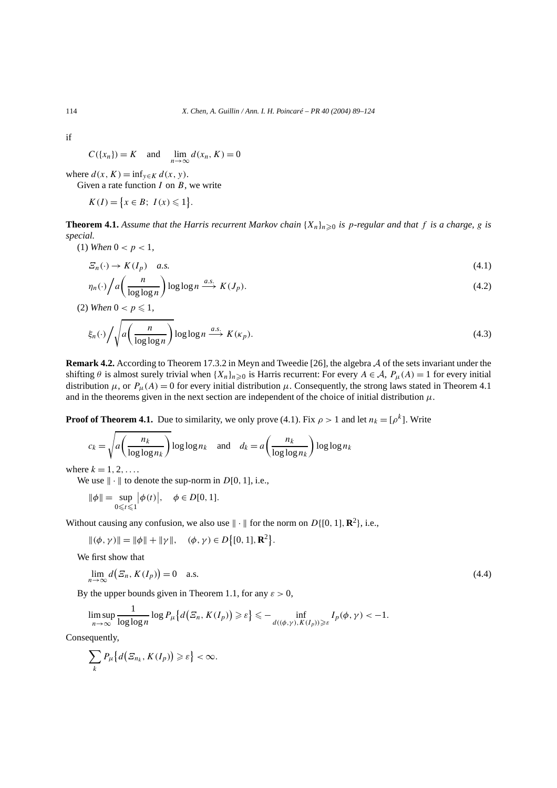if

$$
C({x_n}) = K
$$
 and  $\lim_{n \to \infty} d(x_n, K) = 0$ 

where  $d(x, K) = \inf_{y \in K} d(x, y)$ . Given a rate function *I* on *B*, we write

$$
K(I) = \{x \in B; \ I(x) \leq 1\}.
$$

**Theorem 4.1.** Assume that the Harris recurrent Markov chain  $\{X_n\}_{n\geq 0}$  is p-regular and that f is a charge, g is *special.*

(1) *When*  $0 < p < 1$ ,

$$
\mathcal{Z}_n(\cdot) \to K(I_p) \quad a.s. \tag{4.1}
$$

$$
\eta_n(\cdot) / a\left(\frac{n}{\log \log n}\right) \log \log n \xrightarrow{a.s.} K(J_p). \tag{4.2}
$$

(2) *When*  $0 < p \le 1$ ,

$$
\xi_n(\cdot) / \sqrt{a \left( \frac{n}{\log \log n} \right)} \log \log n \stackrel{a.s.}{\longrightarrow} K(\kappa_p). \tag{4.3}
$$

**Remark 4.2.** According to Theorem 17.3.2 in Meyn and Tweedie [26], the algebra A of the sets invariant under the shifting  $\theta$  is almost surely trivial when  $\{X_n\}_{n\geq 0}$  is Harris recurrent: For every  $A \in \mathcal{A}$ ,  $P_\mu(A) = 1$  for every initial distribution  $\mu$ , or  $P_\mu(A) = 0$  for every initial distribution  $\mu$ . Consequently, the strong laws stated in Theorem 4.1 and in the theorems given in the next section are independent of the choice of initial distribution  $\mu$ .

**Proof of Theorem 4.1.** Due to similarity, we only prove (4.1). Fix  $\rho > 1$  and let  $n_k = [\rho^k]$ . Write

$$
c_k = \sqrt{a\left(\frac{n_k}{\log\log n_k}\right)} \log\log n_k \quad \text{and} \quad d_k = a\left(\frac{n_k}{\log\log n_k}\right) \log\log n_k
$$

where  $k = 1, 2, ...$ 

We use  $\|\cdot\|$  to denote the sup-norm in *D*[0, 1], i.e.,

$$
\|\phi\| = \sup_{0 \le t \le 1} |\phi(t)|, \quad \phi \in D[0, 1].
$$

Without causing any confusion, we also use  $\| \cdot \|$  for the norm on  $D\{[0, 1], \mathbb{R}^2\}$ , i.e.,

 $\|(\phi, \gamma)\| = \|\phi\| + \|\gamma\|, \quad (\phi, \gamma) \in D\{[0, 1], \mathbb{R}^2\}.$ 

We first show that

$$
\lim_{n \to \infty} d(E_n, K(I_p)) = 0 \quad \text{a.s.} \tag{4.4}
$$

1

By the upper bounds given in Theorem 1.1, for any  $\varepsilon > 0$ ,

$$
\limsup_{n\to\infty}\frac{1}{\log\log n}\log P_{\mu}\big\{d\big(\varXi_n, K(I_p)\big)\geqslant \varepsilon\big\}\leqslant-\inf_{d((\phi,\gamma), K(I_p))\geqslant \varepsilon}I_p(\phi,\gamma)<-1.
$$

Consequently,

$$
\sum_{k} P_{\mu} \big\{ d \big( E_{n_k}, K(I_p) \big) \geqslant \varepsilon \big\} < \infty.
$$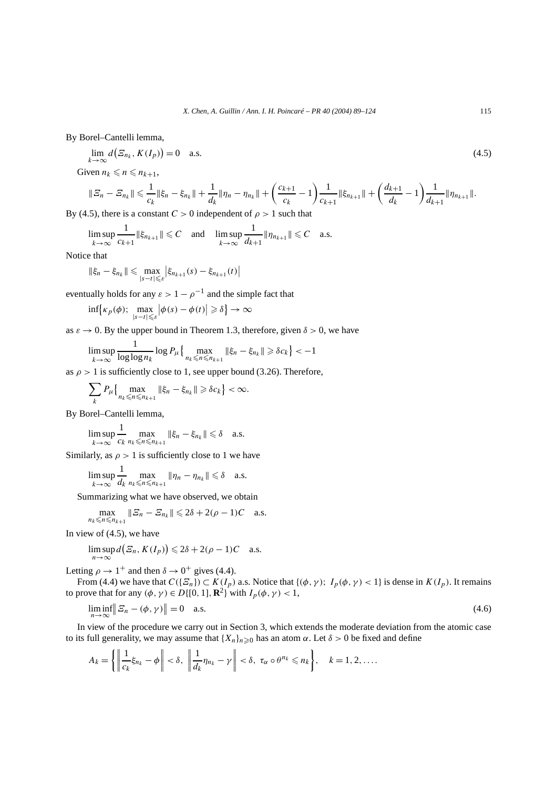By Borel–Cantelli lemma,

$$
\lim_{k \to \infty} d\big(\mathcal{E}_{n_k}, K(I_p)\big) = 0 \quad \text{a.s.} \tag{4.5}
$$

Given  $n_k \leq n \leq n_{k+1}$ ,

$$
\| \varXi_n - \varXi_{n_k} \| \leqslant \frac{1}{c_k} \| \xi_n - \xi_{n_k} \| + \frac{1}{d_k} \| \eta_n - \eta_{n_k} \| + \bigg( \frac{c_{k+1}}{c_k} - 1 \bigg) \frac{1}{c_{k+1}} \| \xi_{n_{k+1}} \| + \bigg( \frac{d_{k+1}}{d_k} - 1 \bigg) \frac{1}{d_{k+1}} \| \eta_{n_{k+1}} \|.
$$

By (4.5), there is a constant  $C > 0$  independent of  $\rho > 1$  such that

$$
\limsup_{k\to\infty}\frac{1}{c_{k+1}}\|\xi_{n_{k+1}}\|\leqslant C \quad \text{and} \quad \limsup_{k\to\infty}\frac{1}{d_{k+1}}\|\eta_{n_{k+1}}\|\leqslant C \quad \text{a.s.}
$$

Notice that

$$
\|\xi_n - \xi_{n_k}\| \le \max_{|s-t| \le \varepsilon} |\xi_{n_{k+1}}(s) - \xi_{n_{k+1}}(t)|
$$

eventually holds for any  $\varepsilon > 1 - \rho^{-1}$  and the simple fact that

$$
\inf \{ \kappa_p(\phi); \ \max_{|s-t| \leq \varepsilon} \left| \phi(s) - \phi(t) \right| \geq \delta \} \to \infty
$$

as  $\varepsilon \to 0$ . By the upper bound in Theorem 1.3, therefore, given  $\delta > 0$ , we have

$$
\limsup_{k\to\infty}\frac{1}{\log\log n_k}\log P_\mu\left\{\max_{n_k\leqslant n\leqslant n_{k+1}}\|\xi_n-\xi_{n_k}\|\geqslant \delta c_k\right\}<-1
$$

as  $\rho > 1$  is sufficiently close to 1, see upper bound (3.26). Therefore,

$$
\sum_{k} P_{\mu} \Big\{ \max_{n_k \leq n \leq n_{k+1}} \|\xi_n - \xi_{n_k}\| \geq \delta c_k \Big\} < \infty.
$$

By Borel–Cantelli lemma,

1

$$
\limsup_{k \to \infty} \frac{1}{c_k} \max_{n_k \le n \le n_{k+1}} \|\xi_n - \xi_{n_k}\| \le \delta \quad \text{a.s.}
$$

Similarly, as  $\rho > 1$  is sufficiently close to 1 we have

lim sup *k*→∞ 1  $\frac{1}{d_k} \max_{n_k \leq n \leq n_{k+1}} \|\eta_n - \eta_{n_k}\| \leq \delta$  a.s.

Summarizing what we have observed, we obtain

$$
\max_{n_k \leq n \leq n_{k+1}} \| \mathcal{Z}_n - \mathcal{Z}_{n_k} \| \leq 2\delta + 2(\rho - 1)C \quad \text{a.s.}
$$

In view of (4.5), we have

$$
\limsup_{n\to\infty} d\big(\varXi_n, K(I_p)\big) \leq 2\delta + 2(\rho - 1)C \quad \text{a.s.}
$$

Letting  $\rho \rightarrow 1^+$  and then  $\delta \rightarrow 0^+$  gives (4.4).

From (4.4) we have that  $C(\lbrace \overline{z_n} \rbrace) \subset K(I_p)$  a.s. Notice that  $\lbrace (\phi, \gamma) ; I_p(\phi, \gamma) < 1 \rbrace$  is dense in  $K(I_p)$ . It remains to prove that for any  $(\phi, \gamma) \in D\{[0, 1], \mathbb{R}^2\}$  with  $I_p(\phi, \gamma) < 1$ ,

$$
\liminf_{n \to \infty} \| \mathcal{E}_n - (\phi, \gamma) \| = 0 \quad \text{a.s.} \tag{4.6}
$$

In view of the procedure we carry out in Section 3, which extends the moderate deviation from the atomic case to its full generality, we may assume that  $\{X_n\}_{n\geq 0}$  has an atom  $\alpha$ . Let  $\delta > 0$  be fixed and define

$$
A_k = \left\{ \left\| \frac{1}{c_k} \xi_{n_k} - \phi \right\| < \delta, \ \left\| \frac{1}{d_k} \eta_{n_k} - \gamma \right\| < \delta, \ \tau_\alpha \circ \theta^{n_k} \leq n_k \right\}, \quad k = 1, 2, \dots.
$$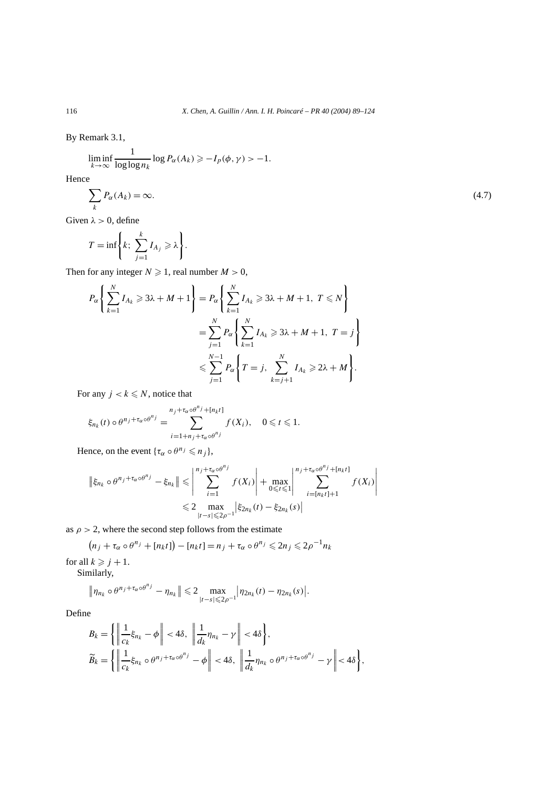By Remark 3.1,

$$
\liminf_{k \to \infty} \frac{1}{\log \log n_k} \log P_\alpha(A_k) \geq -I_p(\phi, \gamma) > -1.
$$

Hence

$$
\sum_{k} P_{\alpha}(A_k) = \infty. \tag{4.7}
$$

 $\overline{\phantom{a}}$  $\overline{\phantom{a}}$  $\overline{\phantom{a}}$  $\overline{\phantom{a}}$  $\begin{array}{c} \end{array}$ 

Given  $\lambda > 0$ , define

$$
T = \inf \bigg\{ k; \sum_{j=1}^k I_{A_j} \geqslant \lambda \bigg\}.
$$

Then for any integer  $N \ge 1$ , real number  $M > 0$ ,

$$
P_{\alpha}\left\{\sum_{k=1}^{N}I_{A_{k}}\geqslant3\lambda+M+1\right\}=P_{\alpha}\left\{\sum_{k=1}^{N}I_{A_{k}}\geqslant3\lambda+M+1, T\leqslant N\right\}
$$

$$
=\sum_{j=1}^{N}P_{\alpha}\left\{\sum_{k=1}^{N}I_{A_{k}}\geqslant3\lambda+M+1, T=j\right\}
$$

$$
\leqslant\sum_{j=1}^{N-1}P_{\alpha}\left\{T=j, \sum_{k=j+1}^{N}I_{A_{k}}\geqslant2\lambda+M\right\}.
$$

For any  $j < k \leq N$ , notice that

$$
\xi_{n_k}(t) \circ \theta^{n_j + \tau_\alpha \circ \theta^{n_j}} = \sum_{i=1+n_j+\tau_\alpha \circ \theta^{n_j}}^{n_j + \tau_\alpha \circ \theta^{n_j} + [n_k t]} f(X_i), \quad 0 \leq t \leq 1.
$$

Hence, on the event  $\{\tau_{\alpha} \circ \theta^{n_j} \leq n_j\},\$ 

$$
\|\xi_{n_k} \circ \theta^{n_j + \tau_\alpha \circ \theta^{n_j}} - \xi_{n_k}\| \leqslant \left| \sum_{i=1}^{n_j + \tau_\alpha \circ \theta^{n_j}} f(X_i) \right| + \max_{0 \leqslant t \leqslant 1} \left| \sum_{i=[n_k t] + 1}^{n_j + \tau_\alpha \circ \theta^{n_j} + [n_k t]} f(X_i) \right|
$$
  

$$
\leqslant 2 \max_{|t-s| \leqslant 2\rho^{-1}} \left| \xi_{2n_k}(t) - \xi_{2n_k}(s) \right|
$$

as  $\rho > 2$ , where the second step follows from the estimate

 $(n_j + \tau_\alpha \circ \theta^{n_j} + [n_k t]) - [n_k t] = n_j + \tau_\alpha \circ \theta^{n_j} \leq 2n_j \leq 2\rho^{-1} n_k$ 

for all  $k \geq j + 1$ . Similarly,

$$
\|\eta_{n_k} \circ \theta^{n_j + \tau_\alpha \circ \theta^{n_j}} - \eta_{n_k}\| \leq 2 \max_{|t-s| \leq 2\rho^{-1}} |\eta_{2n_k}(t) - \eta_{2n_k}(s)|.
$$

Define

$$
B_k = \left\{ \left\| \frac{1}{c_k} \xi_{n_k} - \phi \right\| < 4\delta, \, \left\| \frac{1}{d_k} \eta_{n_k} - \gamma \right\| < 4\delta \right\},\
$$
  

$$
\widetilde{B}_k = \left\{ \left\| \frac{1}{c_k} \xi_{n_k} \circ \theta^{n_j + \tau_\alpha \circ \theta^{n_j}} - \phi \right\| < 4\delta, \, \left\| \frac{1}{d_k} \eta_{n_k} \circ \theta^{n_j + \tau_\alpha \circ \theta^{n_j}} - \gamma \right\| < 4\delta \right\},\
$$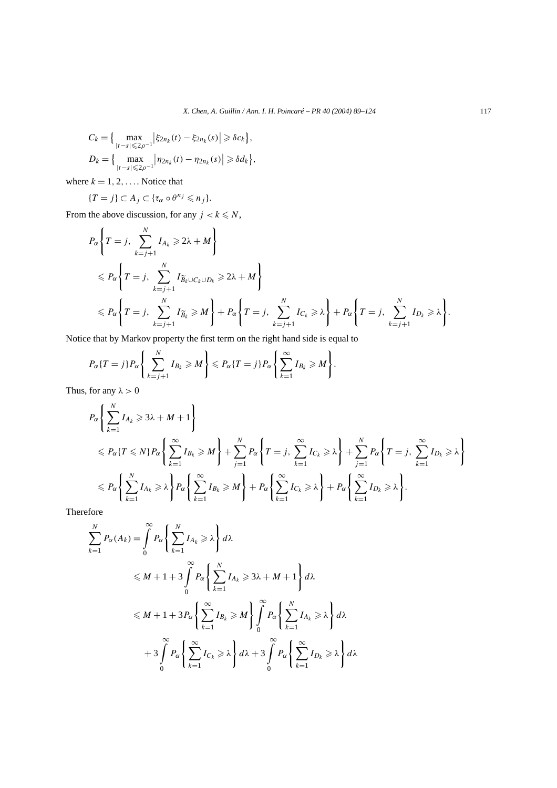$$
C_k = \{ \max_{|t-s| \le 2\rho^{-1}} |\xi_{2n_k}(t) - \xi_{2n_k}(s)| \ge \delta c_k \},
$$
  

$$
D_k = \{ \max_{|t-s| \le 2\rho^{-1}} |\eta_{2n_k}(t) - \eta_{2n_k}(s)| \ge \delta d_k \},
$$

where  $k = 1, 2, \ldots$  Notice that

$$
\{T=j\}\subset A_j\subset\{\tau_\alpha\circ\theta^{n_j}\leqslant n_j\}.
$$

From the above discussion, for any  $j < k \le N$ ,

$$
P_{\alpha}\left\{T=j, \sum_{k=j+1}^{N} I_{A_k} \geq 2\lambda + M\right\}
$$
  
\n
$$
\leq P_{\alpha}\left\{T=j, \sum_{k=j+1}^{N} I_{\widetilde{B}_k \cup C_k \cup D_k} \geq 2\lambda + M\right\}
$$
  
\n
$$
\leq P_{\alpha}\left\{T=j, \sum_{k=j+1}^{N} I_{\widetilde{B}_k} \geq M\right\} + P_{\alpha}\left\{T=j, \sum_{k=j+1}^{N} I_{C_k} \geq \lambda\right\} + P_{\alpha}\left\{T=j, \sum_{k=j+1}^{N} I_{D_k} \geq \lambda\right\}.
$$

Notice that by Markov property the first term on the right hand side is equal to

$$
P_{\alpha}\lbrace T=j\rbrace P_{\alpha}\left\lbrace \sum_{k=j+1}^{N} I_{B_k} \geqslant M \right\rbrace \leqslant P_{\alpha}\lbrace T=j\rbrace P_{\alpha}\left\lbrace \sum_{k=1}^{\infty} I_{B_k} \geqslant M \right\rbrace.
$$

Thus, for any  $\lambda > 0$ 

$$
P_{\alpha}\left\{\sum_{k=1}^{N}I_{A_{k}}\geqslant3\lambda+M+1\right\}
$$
  
\n
$$
\leqslant P_{\alpha}\left\{T\leqslant N\right\}P_{\alpha}\left\{\sum_{k=1}^{\infty}I_{B_{k}}\geqslant M\right\}+\sum_{j=1}^{N}P_{\alpha}\left\{T=j,\sum_{k=1}^{\infty}I_{C_{k}}\geqslant\lambda\right\}+\sum_{j=1}^{N}P_{\alpha}\left\{T=j,\sum_{k=1}^{\infty}I_{D_{k}}\geqslant\lambda\right\}
$$
  
\n
$$
\leqslant P_{\alpha}\left\{\sum_{k=1}^{N}I_{A_{k}}\geqslant\lambda\right\}P_{\alpha}\left\{\sum_{k=1}^{\infty}I_{B_{k}}\geqslant M\right\}+P_{\alpha}\left\{\sum_{k=1}^{\infty}I_{C_{k}}\geqslant\lambda\right\}+P_{\alpha}\left\{\sum_{k=1}^{\infty}I_{D_{k}}\geqslant\lambda\right\}.
$$

Therefore

$$
\sum_{k=1}^{N} P_{\alpha}(A_k) = \int_{0}^{\infty} P_{\alpha} \left\{ \sum_{k=1}^{N} I_{A_k} \ge \lambda \right\} d\lambda
$$
  
\n
$$
\le M + 1 + 3 \int_{0}^{\infty} P_{\alpha} \left\{ \sum_{k=1}^{N} I_{A_k} \ge 3\lambda + M + 1 \right\} d\lambda
$$
  
\n
$$
\le M + 1 + 3 P_{\alpha} \left\{ \sum_{k=1}^{\infty} I_{B_k} \ge M \right\} \int_{0}^{\infty} P_{\alpha} \left\{ \sum_{k=1}^{N} I_{A_k} \ge \lambda \right\} d\lambda
$$
  
\n
$$
+ 3 \int_{0}^{\infty} P_{\alpha} \left\{ \sum_{k=1}^{\infty} I_{C_k} \ge \lambda \right\} d\lambda + 3 \int_{0}^{\infty} P_{\alpha} \left\{ \sum_{k=1}^{\infty} I_{D_k} \ge \lambda \right\} d\lambda
$$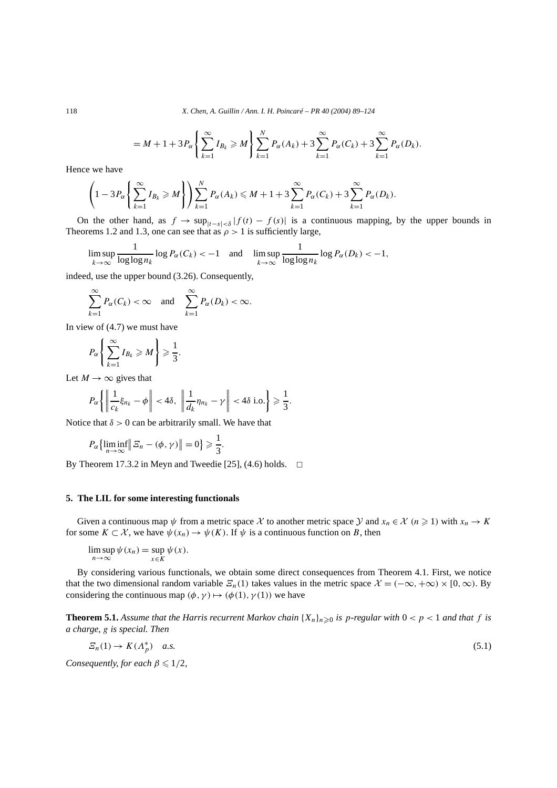118 *X. Chen, A. Guillin / Ann. I. H. Poincaré – PR 40 (2004) 89–124*

$$
= M+1+3P_{\alpha}\left\{\sum_{k=1}^{\infty}I_{B_k} \geq M\right\}\sum_{k=1}^{N}P_{\alpha}(A_k)+3\sum_{k=1}^{\infty}P_{\alpha}(C_k)+3\sum_{k=1}^{\infty}P_{\alpha}(D_k).
$$

Hence we have

$$
\left(1-3P_{\alpha}\left\{\sum_{k=1}^{\infty}I_{B_k}\geq M\right\}\right)\sum_{k=1}^NP_{\alpha}(A_k)\leq M+1+3\sum_{k=1}^{\infty}P_{\alpha}(C_k)+3\sum_{k=1}^{\infty}P_{\alpha}(D_k).
$$

On the other hand, as  $f \to \sup_{|t-s| < \delta} |f(t) - f(s)|$  is a continuous mapping, by the upper bounds in Theorems 1.2 and 1.3, one can see that as  $\rho > 1$  is sufficiently large,

$$
\limsup_{k \to \infty} \frac{1}{\log \log n_k} \log P_\alpha(C_k) < -1 \quad \text{and} \quad \limsup_{k \to \infty} \frac{1}{\log \log n_k} \log P_\alpha(D_k) < -1,
$$

indeed, use the upper bound (3.26). Consequently,

$$
\sum_{k=1}^{\infty} P_{\alpha}(C_k) < \infty \quad \text{and} \quad \sum_{k=1}^{\infty} P_{\alpha}(D_k) < \infty.
$$

In view of (4.7) we must have

$$
P_{\alpha}\left\{\sum_{k=1}^{\infty}I_{B_k}\geqslant M\right\}\geqslant\frac{1}{3}
$$

Let  $M \to \infty$  gives that

$$
P_{\alpha}\left\{\left\|\frac{1}{c_k}\xi_{n_k}-\phi\right\|<4\delta,\ \left\|\frac{1}{d_k}\eta_{n_k}-\gamma\right\|<4\delta\ \mathrm{i.o.}\right\}\geqslant\frac{1}{3}.
$$

*.*

Notice that  $\delta > 0$  can be arbitrarily small. We have that

$$
P_{\alpha}\left\{\liminf_{n\to\infty}\Big|\Big|\,\mathcal{Z}_n-(\phi,\gamma)\Big|\right|=0\right\}\geqslant\frac{1}{3}.
$$

By Theorem 17.3.2 in Meyn and Tweedie [25], (4.6) holds.  $\Box$ 

## **5. The LIL for some interesting functionals**

Given a continuous map  $\psi$  from a metric space X to another metric space Y and  $x_n \in \mathcal{X}$   $(n \ge 1)$  with  $x_n \to K$ for some  $K \subset \mathcal{X}$ , we have  $\psi(x_n) \to \psi(K)$ . If  $\psi$  is a continuous function on *B*, then

 $\limsup_{n\to\infty}\psi(x_n)=\sup_{x\in K}$ *ψ(x).*

By considering various functionals, we obtain some direct consequences from Theorem 4.1. First, we notice that the two dimensional random variable  $\mathcal{Z}_n(1)$  takes values in the metric space  $\mathcal{X} = (-\infty, +\infty) \times [0, \infty)$ . By considering the continuous map  $(\phi, \gamma) \mapsto (\phi(1), \gamma(1))$  we have

**Theorem 5.1.** Assume that the Harris recurrent Markov chain  $\{X_n\}_{n\geq 0}$  is p-regular with  $0 < p < 1$  and that f is *a charge, g is special. Then*

$$
\mathcal{E}_n(1) \to K(\Lambda_p^*) \quad a.s. \tag{5.1}
$$

*Consequently, for each*  $\beta \leq 1/2$ *,*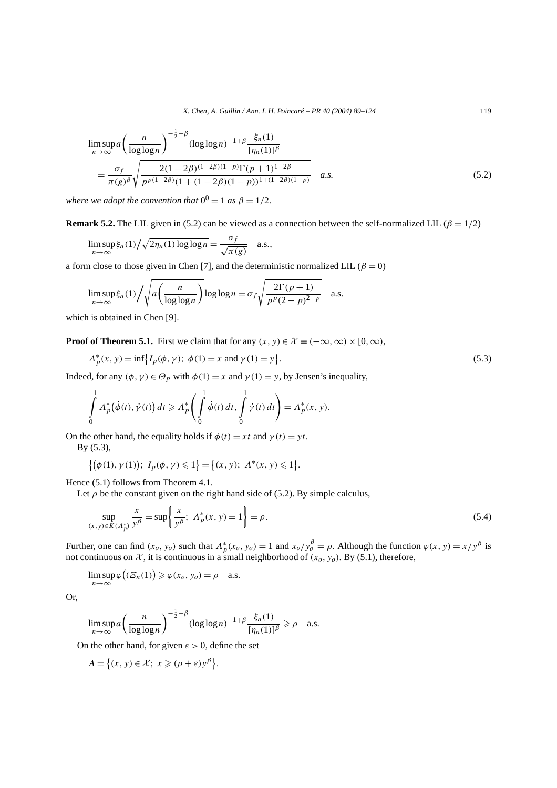$$
\limsup_{n \to \infty} a \left( \frac{n}{\log \log n} \right)^{-\frac{1}{2} + \beta} (\log \log n)^{-1 + \beta} \frac{\xi_n(1)}{[\eta_n(1)]^{\beta}} \n= \frac{\sigma_f}{\pi(g)^{\beta}} \sqrt{\frac{2(1 - 2\beta)^{(1 - 2\beta)(1 - p)} \Gamma(p + 1)^{1 - 2\beta}}{p^{p(1 - 2\beta)} (1 + (1 - 2\beta)(1 - p))^{1 + (1 - 2\beta)(1 - p)}}} \quad a.s.
$$
\n(5.2)

*where we adopt the convention that*  $0^0 = 1$  *as*  $\beta = 1/2$ *.* 

**Remark 5.2.** The LIL given in (5.2) can be viewed as a connection between the self-normalized LIL ( $\beta = 1/2$ )

$$
\limsup_{n \to \infty} \xi_n(1) / \sqrt{2\eta_n(1) \log \log n} = \frac{\sigma_f}{\sqrt{\pi(g)}} \quad \text{a.s.},
$$

a form close to those given in Chen [7], and the deterministic normalized LIL ( $\beta = 0$ )

$$
\limsup_{n \to \infty} \xi_n(1) / \sqrt{a \left( \frac{n}{\log \log n} \right)} \log \log n = \sigma_f \sqrt{\frac{2\Gamma(p+1)}{p^p (2-p)^{2-p}}} \quad \text{a.s.}
$$

which is obtained in Chen [9].

**Proof of Theorem 5.1.** First we claim that for any  $(x, y) \in \mathcal{X} \equiv (-\infty, \infty) \times [0, \infty)$ ,

$$
\Lambda_p^*(x, y) = \inf \{ I_p(\phi, \gamma); \ \phi(1) = x \text{ and } \gamma(1) = y \}.
$$
 (5.3)

Indeed, for any  $(\phi, \gamma) \in \Theta_p$  with  $\phi(1) = x$  and  $\gamma(1) = y$ , by Jensen's inequality,

$$
\int_{0}^{1} \Lambda_{p}^{*}(\dot{\phi}(t), \dot{\gamma}(t)) dt \geq \Lambda_{p}^{*} \left( \int_{0}^{1} \dot{\phi}(t) dt, \int_{0}^{1} \dot{\gamma}(t) dt \right) = \Lambda_{p}^{*}(x, y).
$$

On the other hand, the equality holds if  $\phi(t) = xt$  and  $\gamma(t) = yt$ .

By (5.3),

$$
\{(\phi(1), \gamma(1)); I_p(\phi, \gamma) \leq 1\} = \{(x, y); A^*(x, y) \leq 1\}.
$$

Hence (5.1) follows from Theorem 4.1.

Let  $\rho$  be the constant given on the right hand side of (5.2). By simple calculus,

$$
\sup_{(x,y)\in K(A_p^*)} \frac{x}{y^{\beta}} = \sup \left\{ \frac{x}{y^{\beta}}; \ A_p^*(x,y) = 1 \right\} = \rho. \tag{5.4}
$$

Further, one can find  $(x_o, y_o)$  such that  $\Lambda_p^*(x_o, y_o) = 1$  and  $x_o/y_o^{\beta} = \rho$ . Although the function  $\varphi(x, y) = x/y^{\beta}$  is not continuous on  $X$ , it is continuous in a small neighborhood of  $(x_o, y_o)$ . By (5.1), therefore,

$$
\limsup_{n\to\infty}\varphi\big((\varXi_n(1)\big)\geqslant\varphi(x_o,y_o)=\rho\quad a.s.
$$

Or,

$$
\limsup_{n\to\infty} a\left(\frac{n}{\log\log n}\right)^{-\frac{1}{2}+\beta} (\log\log n)^{-1+\beta} \frac{\xi_n(1)}{[\eta_n(1)]^{\beta}} \ge \rho \quad \text{a.s.}
$$

On the other hand, for given  $\varepsilon > 0$ , define the set

$$
A = \left\{ (x, y) \in \mathcal{X}; \ x \geqslant (\rho + \varepsilon) y^{\beta} \right\}.
$$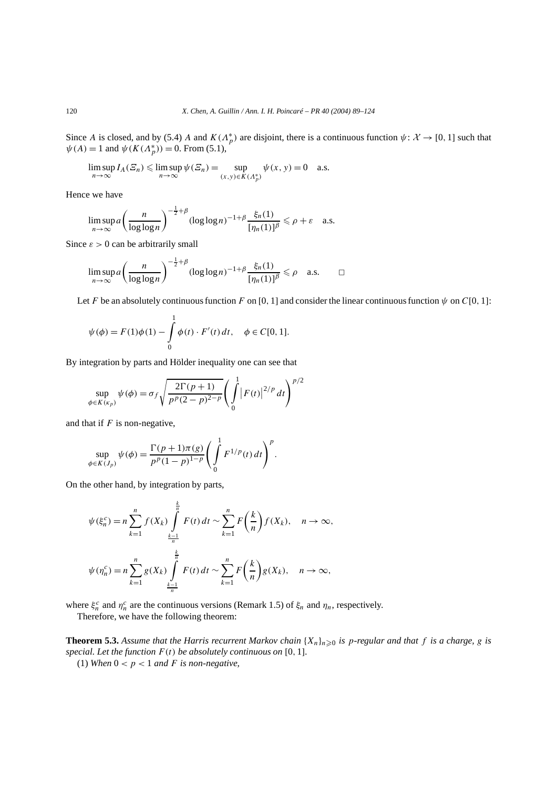Since *A* is closed, and by (5.4) *A* and  $K(\Lambda_p^*)$  are disjoint, there is a continuous function  $\psi: \mathcal{X} \to [0, 1]$  such that  $\psi(A) = 1$  and  $\psi(K(\Lambda_p^*)) = 0$ . From (5.1),

$$
\limsup_{n \to \infty} I_A(\mathcal{Z}_n) \le \limsup_{n \to \infty} \psi(\mathcal{Z}_n) = \sup_{(x,y) \in K(\Lambda_p^*)} \psi(x,y) = 0 \quad \text{a.s.}
$$

Hence we have

$$
\limsup_{n\to\infty} a\left(\frac{n}{\log\log n}\right)^{-\frac{1}{2}+\beta} (\log\log n)^{-1+\beta} \frac{\xi_n(1)}{[\eta_n(1)]^{\beta}} \leq \rho + \varepsilon \quad \text{a.s.}
$$

Since  $\varepsilon > 0$  can be arbitrarily small

$$
\limsup_{n\to\infty} a\left(\frac{n}{\log\log n}\right)^{-\frac{1}{2}+\beta} (\log\log n)^{-1+\beta} \frac{\xi_n(1)}{[\eta_n(1)]^{\beta}} \leq \rho \quad \text{a.s.} \qquad \Box
$$

Let *F* be an absolutely continuous function *F* on [0, 1] and consider the linear continuous function  $\psi$  on *C*[0, 1]:

$$
\psi(\phi) = F(1)\phi(1) - \int_{0}^{1} \phi(t) \cdot F'(t) dt, \quad \phi \in C[0, 1].
$$

By integration by parts and Hölder inequality one can see that

$$
\sup_{\phi \in K(\kappa_p)} \psi(\phi) = \sigma_f \sqrt{\frac{2\Gamma(p+1)}{p^p(2-p)^{2-p}}} \left( \int_0^1 |F(t)|^{2/p} dt \right)^{p/2}
$$

and that if *F* is non-negative,

$$
\sup_{\phi \in K(J_p)} \psi(\phi) = \frac{\Gamma(p+1)\pi(g)}{p^p(1-p)^{1-p}} \left( \int_0^1 F^{1/p}(t) \, dt \right)^p.
$$

On the other hand, by integration by parts,

$$
\psi(\xi_n^c) = n \sum_{k=1}^n f(X_k) \int\limits_{\frac{k-1}{n}}^{\frac{k}{n}} F(t) dt \sim \sum_{k=1}^n F\left(\frac{k}{n}\right) f(X_k), \quad n \to \infty,
$$
  

$$
\psi(\eta_n^c) = n \sum_{k=1}^n g(X_k) \int\limits_{\frac{k-1}{n}}^{\frac{k}{n}} F(t) dt \sim \sum_{k=1}^n F\left(\frac{k}{n}\right) g(X_k), \quad n \to \infty,
$$

where  $\xi_n^c$  and  $\eta_n^c$  are the continuous versions (Remark 1.5) of  $\xi_n$  and  $\eta_n$ , respectively.

Therefore, we have the following theorem:

**Theorem 5.3.** Assume that the Harris recurrent Markov chain  $\{X_n\}_{n\geq 0}$  is p-regular and that f is a charge, g is *special. Let the function F (t) be absolutely continuous on* [0*,* 1]*.*

(1) When  $0 < p < 1$  and *F* is non-negative,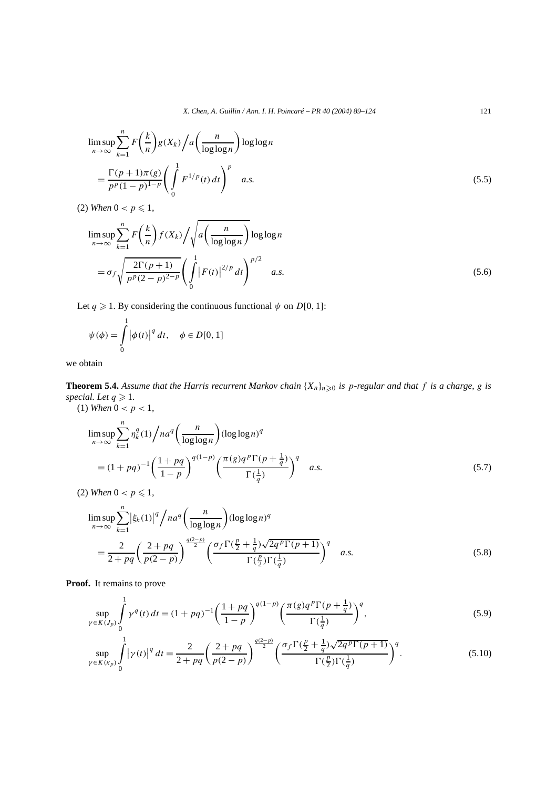$$
\limsup_{n \to \infty} \sum_{k=1}^{n} F\left(\frac{k}{n}\right) g(X_k) / a\left(\frac{n}{\log \log n}\right) \log \log n
$$
\n
$$
= \frac{\Gamma(p+1)\pi(g)}{p^p (1-p)^{1-p}} \left(\int_0^1 F^{1/p}(t) dt\right)^p \quad a.s.
$$
\n(5.5)

(2) *When*  $0 < p \le 1$ ,

$$
\limsup_{n \to \infty} \sum_{k=1}^{n} F\left(\frac{k}{n}\right) f(X_k) / \sqrt{a \left(\frac{n}{\log \log n}\right)} \log \log n
$$
\n
$$
= \sigma_f \sqrt{\frac{2\Gamma(p+1)}{p^p(2-p)^{2-p}}} \left(\int_0^1 |F(t)|^{2/p} dt\right)^{p/2} a.s.
$$
\n(5.6)

Let  $q \ge 1$ . By considering the continuous functional  $\psi$  on  $D[0, 1]$ :

$$
\psi(\phi) = \int_{0}^{1} |\phi(t)|^q dt, \quad \phi \in D[0, 1]
$$

we obtain

**Theorem 5.4.** Assume that the Harris recurrent Markov chain  $\{X_n\}_{n\geq 0}$  is p-regular and that f is a charge, g is *special.* Let  $q \geq 1$ .

(1) When 
$$
0 < p < 1
$$
,

$$
\limsup_{n \to \infty} \sum_{k=1}^{n} \eta_k^q(1) / na^q \left( \frac{n}{\log \log n} \right) (\log \log n)^q
$$
  
=  $(1 + pq)^{-1} \left( \frac{1 + pq}{1 - p} \right)^{q(1-p)} \left( \frac{\pi(g)q^p \Gamma(p + \frac{1}{q})}{\Gamma(\frac{1}{q})} \right)^q$  a.s. (5.7)

(2) *When*  $0 < p \le 1$ ,

$$
\limsup_{n \to \infty} \sum_{k=1}^{n} |\xi_k(1)|^q / na^q \left(\frac{n}{\log \log n}\right) (\log \log n)^q
$$
  
= 
$$
\frac{2}{2 + pq} \left(\frac{2 + pq}{p(2 - p)}\right)^{\frac{q(2-p)}{2}} \left(\frac{\sigma_f \Gamma(\frac{p}{2} + \frac{1}{q}) \sqrt{2q^p \Gamma(p+1)}}{\Gamma(\frac{p}{2}) \Gamma(\frac{1}{q})}\right)^q a.s.
$$
 (5.8)

**Proof.** It remains to prove

$$
\sup_{\gamma \in K(J_p)} \int_0^1 \gamma^q(t) dt = (1 + pq)^{-1} \left( \frac{1 + pq}{1 - p} \right)^{q(1 - p)} \left( \frac{\pi(g) q^p \Gamma(p + \frac{1}{q})}{\Gamma(\frac{1}{q})} \right)^q, \tag{5.9}
$$

$$
\sup_{\gamma \in K(\kappa_p)} \int_{0}^{1} |\gamma(t)|^q dt = \frac{2}{2 + pq} \left( \frac{2 + pq}{p(2 - p)} \right)^{\frac{q(2 - p)}{2}} \left( \frac{\sigma_f \Gamma(\frac{p}{2} + \frac{1}{q}) \sqrt{2q^p \Gamma(p + 1)}}{\Gamma(\frac{p}{2}) \Gamma(\frac{1}{q})} \right)^q.
$$
(5.10)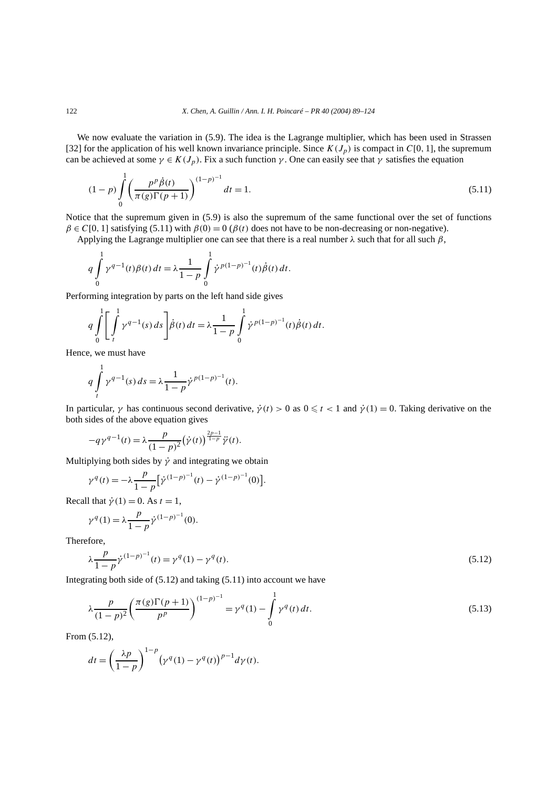We now evaluate the variation in (5.9). The idea is the Lagrange multiplier, which has been used in Strassen [32] for the application of his well known invariance principle. Since  $K(J_p)$  is compact in  $C[0, 1]$ , the supremum can be achieved at some  $\gamma \in K(J_p)$ . Fix a such function  $\gamma$ . One can easily see that  $\gamma$  satisfies the equation

$$
(1-p)\int_{0}^{1} \left(\frac{p^p \dot{\beta}(t)}{\pi(g)\Gamma(p+1)}\right)^{(1-p)^{-1}} dt = 1.
$$
\n(5.11)

Notice that the supremum given in (5.9) is also the supremum of the same functional over the set of functions  $\beta \in C[0, 1]$  satisfying (5.11) with  $\beta(0) = 0$  ( $\beta(t)$  does not have to be non-decreasing or non-negative).

Applying the Lagrange multiplier one can see that there is a real number *λ* such that for all such *β*,

$$
q \int_{0}^{1} \gamma^{q-1}(t) \beta(t) dt = \lambda \frac{1}{1-p} \int_{0}^{1} \dot{\gamma}^{p(1-p)^{-1}}(t) \dot{\beta}(t) dt.
$$

Performing integration by parts on the left hand side gives

$$
q \int_{0}^{1} \left[ \int_{t}^{1} \gamma^{q-1}(s) \, ds \right] \dot{\beta}(t) \, dt = \lambda \frac{1}{1-p} \int_{0}^{1} \dot{\gamma}^{p(1-p)-1}(t) \dot{\beta}(t) \, dt.
$$

Hence, we must have 1

12.11

$$
q \int\limits_t^1 \gamma^{q-1}(s) \, ds = \lambda \frac{1}{1-p} \dot{\gamma}^{p(1-p)^{-1}}(t).
$$

In particular,  $\gamma$  has continuous second derivative,  $\dot{\gamma}(t) > 0$  as  $0 \leq t < 1$  and  $\dot{\gamma}(1) = 0$ . Taking derivative on the both sides of the above equation gives

$$
-q\gamma^{q-1}(t) = \lambda \frac{p}{(1-p)^2} (\dot{\gamma}(t))^{\frac{2p-1}{1-p}} \ddot{\gamma}(t).
$$

Multiplying both sides by  $\dot{\gamma}$  and integrating we obtain

$$
\gamma^{q}(t) = -\lambda \frac{p}{1-p} \left[ \dot{\gamma}^{(1-p)^{-1}}(t) - \dot{\gamma}^{(1-p)^{-1}}(0) \right].
$$

Recall that  $\dot{\gamma}(1) = 0$ . As  $t = 1$ ,

$$
\gamma^{q}(1) = \lambda \frac{p}{1-p} \dot{\gamma}^{(1-p)^{-1}}(0).
$$

Therefore,

$$
\lambda \frac{p}{1-p} \dot{\gamma}^{(1-p)^{-1}}(t) = \gamma^q(1) - \gamma^q(t). \tag{5.12}
$$

Integrating both side of (5.12) and taking (5.11) into account we have

$$
\lambda \frac{p}{(1-p)^2} \left( \frac{\pi(g)\Gamma(p+1)}{p^p} \right)^{(1-p)^{-1}} = \gamma^q(1) - \int_0^1 \gamma^q(t) dt.
$$
\n(5.13)

From (5.12),

$$
dt = \left(\frac{\lambda p}{1-p}\right)^{1-p} \left(\gamma^q(1) - \gamma^q(t)\right)^{p-1} d\gamma(t).
$$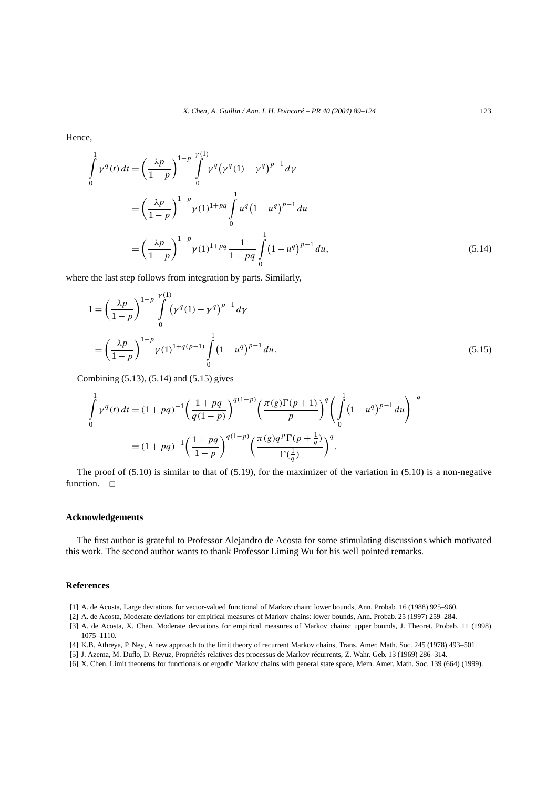Hence,

$$
\int_{0}^{1} \gamma^{q}(t) dt = \left(\frac{\lambda p}{1-p}\right)^{1-p} \int_{0}^{\gamma(1)} \gamma^{q} (\gamma^{q}(1) - \gamma^{q})^{p-1} d\gamma
$$

$$
= \left(\frac{\lambda p}{1-p}\right)^{1-p} \gamma(1)^{1+pq} \int_{0}^{1} u^{q} (1 - u^{q})^{p-1} du
$$

$$
= \left(\frac{\lambda p}{1-p}\right)^{1-p} \gamma(1)^{1+pq} \frac{1}{1+pq} \int_{0}^{1} (1 - u^{q})^{p-1} du,
$$
(5.14)

where the last step follows from integration by parts. Similarly,

$$
1 = \left(\frac{\lambda p}{1 - p}\right)^{1 - p} \int_{0}^{\gamma(1)} (\gamma^{q}(1) - \gamma^{q})^{p-1} d\gamma
$$
  
=  $\left(\frac{\lambda p}{1 - p}\right)^{1 - p} \gamma(1)^{1 + q(p-1)} \int_{0}^{1} (1 - u^{q})^{p-1} du.$  (5.15)

Combining (5.13), (5.14) and (5.15) gives

$$
\int_{0}^{1} \gamma^{q}(t) dt = (1 + pq)^{-1} \left(\frac{1 + pq}{q(1 - p)}\right)^{q(1 - p)} \left(\frac{\pi(g)\Gamma(p + 1)}{p}\right)^{q} \left(\int_{0}^{1} (1 - u^{q})^{p - 1} du\right)^{-q}
$$

$$
= (1 + pq)^{-1} \left(\frac{1 + pq}{1 - p}\right)^{q(1 - p)} \left(\frac{\pi(g)q^{p}\Gamma(p + \frac{1}{q})}{\Gamma(\frac{1}{q})}\right)^{q}.
$$

The proof of  $(5.10)$  is similar to that of  $(5.19)$ , for the maximizer of the variation in  $(5.10)$  is a non-negative function.  $\Box$ 

# **Acknowledgements**

The first author is grateful to Professor Alejandro de Acosta for some stimulating discussions which motivated this work. The second author wants to thank Professor Liming Wu for his well pointed remarks.

## **References**

- [1] A. de Acosta, Large deviations for vector-valued functional of Markov chain: lower bounds, Ann. Probab. 16 (1988) 925–960.
- [2] A. de Acosta, Moderate deviations for empirical measures of Markov chains: lower bounds, Ann. Probab. 25 (1997) 259–284.
- [3] A. de Acosta, X. Chen, Moderate deviations for empirical measures of Markov chains: upper bounds, J. Theoret. Probab. 11 (1998) 1075–1110.
- [4] K.B. Athreya, P. Ney, A new approach to the limit theory of recurrent Markov chains, Trans. Amer. Math. Soc. 245 (1978) 493–501.
- [5] J. Azema, M. Duflo, D. Revuz, Propriétés relatives des processus de Markov récurrents, Z. Wahr. Geb. 13 (1969) 286–314.
- [6] X. Chen, Limit theorems for functionals of ergodic Markov chains with general state space, Mem. Amer. Math. Soc. 139 (664) (1999).